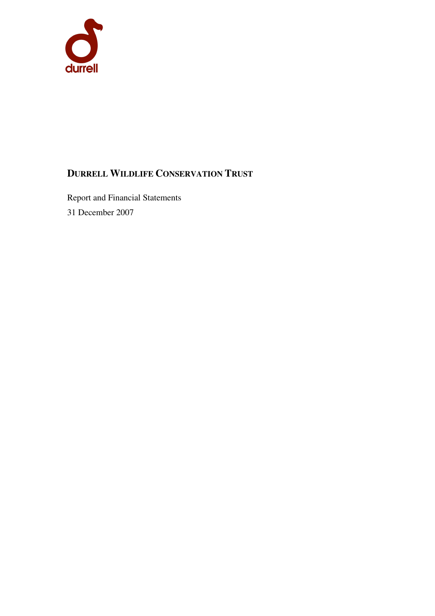

# **DURRELL WILDLIFE CONSERVATION TRUST**

Report and Financial Statements 31 December 2007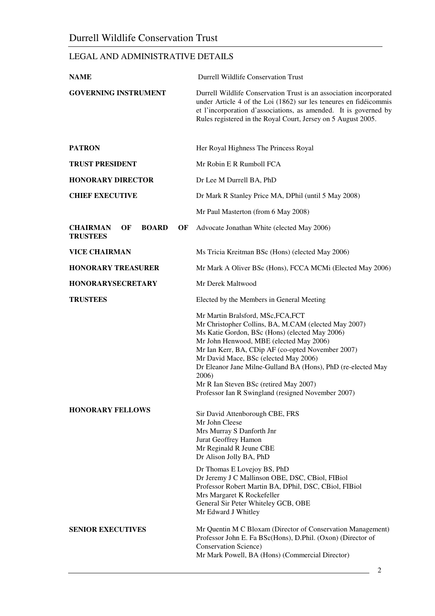# LEGAL AND ADMINISTRATIVE DETAILS

| <b>NAME</b>                                                    | <b>Durrell Wildlife Conservation Trust</b>                                                                                                                                                                                                                                                                                                                                                                                                                     |
|----------------------------------------------------------------|----------------------------------------------------------------------------------------------------------------------------------------------------------------------------------------------------------------------------------------------------------------------------------------------------------------------------------------------------------------------------------------------------------------------------------------------------------------|
| <b>GOVERNING INSTRUMENT</b>                                    | Durrell Wildlife Conservation Trust is an association incorporated<br>under Article 4 of the Loi (1862) sur les teneures en fidéicommis<br>et l'incorporation d'associations, as amended. It is governed by<br>Rules registered in the Royal Court, Jersey on 5 August 2005.                                                                                                                                                                                   |
| <b>PATRON</b>                                                  | Her Royal Highness The Princess Royal                                                                                                                                                                                                                                                                                                                                                                                                                          |
| <b>TRUST PRESIDENT</b>                                         | Mr Robin E R Rumboll FCA                                                                                                                                                                                                                                                                                                                                                                                                                                       |
| <b>HONORARY DIRECTOR</b>                                       | Dr Lee M Durrell BA, PhD                                                                                                                                                                                                                                                                                                                                                                                                                                       |
| <b>CHIEF EXECUTIVE</b>                                         | Dr Mark R Stanley Price MA, DPhil (until 5 May 2008)                                                                                                                                                                                                                                                                                                                                                                                                           |
|                                                                | Mr Paul Masterton (from 6 May 2008)                                                                                                                                                                                                                                                                                                                                                                                                                            |
| OF<br><b>BOARD</b><br><b>CHAIRMAN</b><br>OF<br><b>TRUSTEES</b> | Advocate Jonathan White (elected May 2006)                                                                                                                                                                                                                                                                                                                                                                                                                     |
| <b>VICE CHAIRMAN</b>                                           | Ms Tricia Kreitman BSc (Hons) (elected May 2006)                                                                                                                                                                                                                                                                                                                                                                                                               |
| <b>HONORARY TREASURER</b>                                      | Mr Mark A Oliver BSc (Hons), FCCA MCMi (Elected May 2006)                                                                                                                                                                                                                                                                                                                                                                                                      |
| <b>HONORARYSECRETARY</b>                                       | Mr Derek Maltwood                                                                                                                                                                                                                                                                                                                                                                                                                                              |
| <b>TRUSTEES</b>                                                | Elected by the Members in General Meeting                                                                                                                                                                                                                                                                                                                                                                                                                      |
|                                                                | Mr Martin Bralsford, MSc, FCA, FCT<br>Mr Christopher Collins, BA, M.CAM (elected May 2007)<br>Ms Katie Gordon, BSc (Hons) (elected May 2006)<br>Mr John Henwood, MBE (elected May 2006)<br>Mr Ian Kerr, BA, CDip AF (co-opted November 2007)<br>Mr David Mace, BSc (elected May 2006)<br>Dr Eleanor Jane Milne-Gulland BA (Hons), PhD (re-elected May<br>2006)<br>Mr R Ian Steven BSc (retired May 2007)<br>Professor Ian R Swingland (resigned November 2007) |
| <b>HONORARY FELLOWS</b>                                        | Sir David Attenborough CBE, FRS<br>Mr John Cleese<br>Mrs Murray S Danforth Jnr<br>Jurat Geoffrey Hamon<br>Mr Reginald R Jeune CBE<br>Dr Alison Jolly BA, PhD<br>Dr Thomas E Lovejoy BS, PhD<br>Dr Jeremy J C Mallinson OBE, DSC, CBiol, FIBiol<br>Professor Robert Martin BA, DPhil, DSC, CBiol, FIBiol<br>Mrs Margaret K Rockefeller<br>General Sir Peter Whiteley GCB, OBE<br>Mr Edward J Whitley                                                            |
| <b>SENIOR EXECUTIVES</b>                                       | Mr Quentin M C Bloxam (Director of Conservation Management)<br>Professor John E. Fa BSc(Hons), D.Phil. (Oxon) (Director of<br><b>Conservation Science</b> )<br>Mr Mark Powell, BA (Hons) (Commercial Director)                                                                                                                                                                                                                                                 |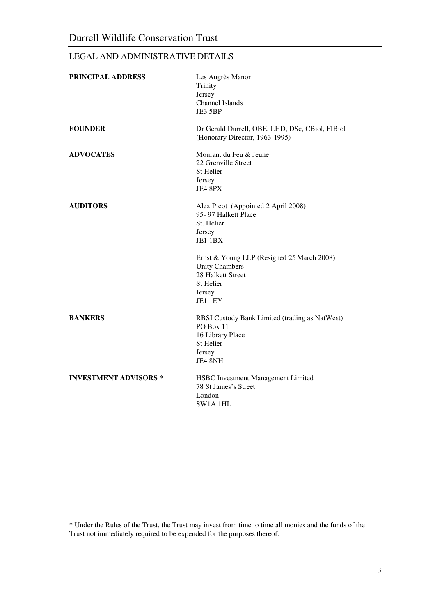# LEGAL AND ADMINISTRATIVE DETAILS

| PRINCIPAL ADDRESS           | Les Augrès Manor<br>Trinity<br>Jersey<br>Channel Islands<br>JE3 5BP                                                        |
|-----------------------------|----------------------------------------------------------------------------------------------------------------------------|
| <b>FOUNDER</b>              | Dr Gerald Durrell, OBE, LHD, DSc, CBiol, FIBiol<br>(Honorary Director, 1963-1995)                                          |
| <b>ADVOCATES</b>            | Mourant du Feu & Jeune<br>22 Grenville Street<br>St Helier<br>Jersey<br>JE4 8PX                                            |
| <b>AUDITORS</b>             | Alex Picot (Appointed 2 April 2008)<br>95-97 Halkett Place<br>St. Helier<br>Jersey<br>JE1 1BX                              |
|                             | Ernst & Young LLP (Resigned 25 March 2008)<br><b>Unity Chambers</b><br>28 Halkett Street<br>St Helier<br>Jersey<br>JE1 1EY |
| <b>BANKERS</b>              | RBSI Custody Bank Limited (trading as NatWest)<br>PO Box 11<br>16 Library Place<br><b>St Helier</b><br>Jersey<br>JE4 8NH   |
| <b>INVESTMENT ADVISORS*</b> | HSBC Investment Management Limited<br>78 St James's Street<br>London<br>SW1A 1HL                                           |

\* Under the Rules of the Trust, the Trust may invest from time to time all monies and the funds of the Trust not immediately required to be expended for the purposes thereof.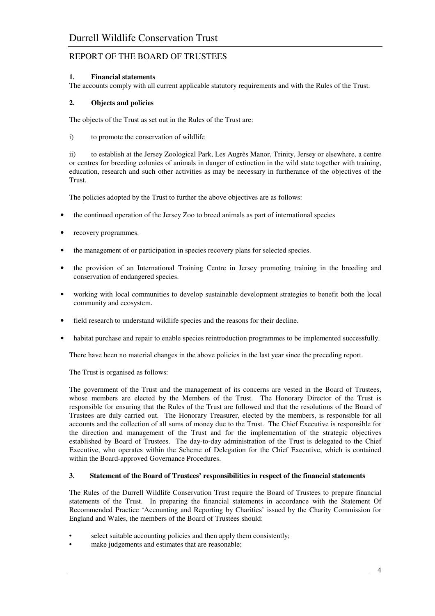# **1. Financial statements**

The accounts comply with all current applicable statutory requirements and with the Rules of the Trust.

# **2. Objects and policies**

The objects of the Trust as set out in the Rules of the Trust are:

i) to promote the conservation of wildlife

 ii) to establish at the Jersey Zoological Park, Les Augrès Manor, Trinity, Jersey or elsewhere, a centre or centres for breeding colonies of animals in danger of extinction in the wild state together with training, education, research and such other activities as may be necessary in furtherance of the objectives of the Trust.

The policies adopted by the Trust to further the above objectives are as follows:

- the continued operation of the Jersey Zoo to breed animals as part of international species
- recovery programmes.
- the management of or participation in species recovery plans for selected species.
- the provision of an International Training Centre in Jersey promoting training in the breeding and conservation of endangered species.
- working with local communities to develop sustainable development strategies to benefit both the local community and ecosystem.
- field research to understand wildlife species and the reasons for their decline.
- habitat purchase and repair to enable species reintroduction programmes to be implemented successfully.

There have been no material changes in the above policies in the last year since the preceding report.

The Trust is organised as follows:

The government of the Trust and the management of its concerns are vested in the Board of Trustees, whose members are elected by the Members of the Trust. The Honorary Director of the Trust is responsible for ensuring that the Rules of the Trust are followed and that the resolutions of the Board of Trustees are duly carried out. The Honorary Treasurer, elected by the members, is responsible for all accounts and the collection of all sums of money due to the Trust. The Chief Executive is responsible for the direction and management of the Trust and for the implementation of the strategic objectives established by Board of Trustees. The day-to-day administration of the Trust is delegated to the Chief Executive, who operates within the Scheme of Delegation for the Chief Executive, which is contained within the Board-approved Governance Procedures.

## **3. Statement of the Board of Trustees' responsibilities in respect of the financial statements**

The Rules of the Durrell Wildlife Conservation Trust require the Board of Trustees to prepare financial statements of the Trust. In preparing the financial statements in accordance with the Statement Of Recommended Practice 'Accounting and Reporting by Charities' issued by the Charity Commission for England and Wales, the members of the Board of Trustees should:

- select suitable accounting policies and then apply them consistently:
- make judgements and estimates that are reasonable;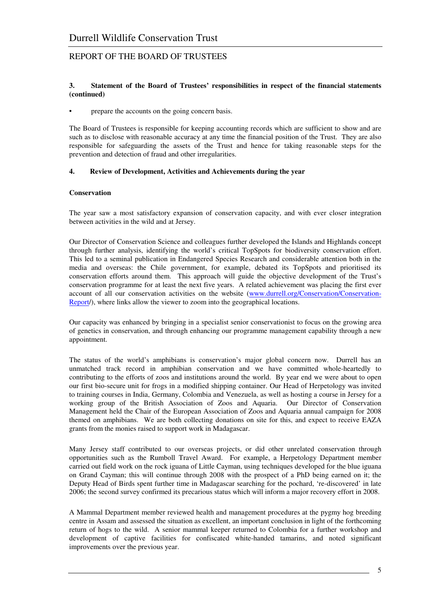#### **3. Statement of the Board of Trustees' responsibilities in respect of the financial statements (continued)**

• prepare the accounts on the going concern basis.

The Board of Trustees is responsible for keeping accounting records which are sufficient to show and are such as to disclose with reasonable accuracy at any time the financial position of the Trust. They are also responsible for safeguarding the assets of the Trust and hence for taking reasonable steps for the prevention and detection of fraud and other irregularities.

## **4. Review of Development, Activities and Achievements during the year**

#### **Conservation**

The year saw a most satisfactory expansion of conservation capacity, and with ever closer integration between activities in the wild and at Jersey.

Our Director of Conservation Science and colleagues further developed the Islands and Highlands concept through further analysis, identifying the world's critical TopSpots for biodiversity conservation effort. This led to a seminal publication in Endangered Species Research and considerable attention both in the media and overseas: the Chile government, for example, debated its TopSpots and prioritised its conservation efforts around them. This approach will guide the objective development of the Trust's conservation programme for at least the next five years. A related achievement was placing the first ever account of all our conservation activities on the website (www.durrell.org/Conservation/Conservation-Report/), where links allow the viewer to zoom into the geographical locations.

Our capacity was enhanced by bringing in a specialist senior conservationist to focus on the growing area of genetics in conservation, and through enhancing our programme management capability through a new appointment.

The status of the world's amphibians is conservation's major global concern now. Durrell has an unmatched track record in amphibian conservation and we have committed whole-heartedly to contributing to the efforts of zoos and institutions around the world. By year end we were about to open our first bio-secure unit for frogs in a modified shipping container. Our Head of Herpetology was invited to training courses in India, Germany, Colombia and Venezuela, as well as hosting a course in Jersey for a working group of the British Association of Zoos and Aquaria. Our Director of Conservation Management held the Chair of the European Association of Zoos and Aquaria annual campaign for 2008 themed on amphibians. We are both collecting donations on site for this, and expect to receive EAZA grants from the monies raised to support work in Madagascar.

Many Jersey staff contributed to our overseas projects, or did other unrelated conservation through opportunities such as the Rumboll Travel Award. For example, a Herpetology Department member carried out field work on the rock iguana of Little Cayman, using techniques developed for the blue iguana on Grand Cayman; this will continue through 2008 with the prospect of a PhD being earned on it; the Deputy Head of Birds spent further time in Madagascar searching for the pochard, 're-discovered' in late 2006; the second survey confirmed its precarious status which will inform a major recovery effort in 2008.

A Mammal Department member reviewed health and management procedures at the pygmy hog breeding centre in Assam and assessed the situation as excellent, an important conclusion in light of the forthcoming return of hogs to the wild. A senior mammal keeper returned to Colombia for a further workshop and development of captive facilities for confiscated white-handed tamarins, and noted significant improvements over the previous year.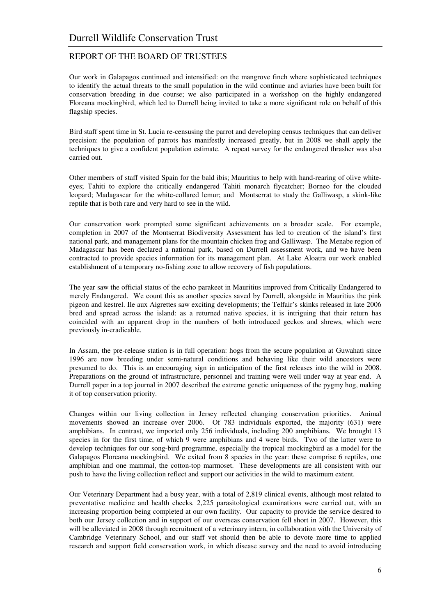Our work in Galapagos continued and intensified: on the mangrove finch where sophisticated techniques to identify the actual threats to the small population in the wild continue and aviaries have been built for conservation breeding in due course; we also participated in a workshop on the highly endangered Floreana mockingbird, which led to Durrell being invited to take a more significant role on behalf of this flagship species.

Bird staff spent time in St. Lucia re-censusing the parrot and developing census techniques that can deliver precision: the population of parrots has manifestly increased greatly, but in 2008 we shall apply the techniques to give a confident population estimate. A repeat survey for the endangered thrasher was also carried out.

Other members of staff visited Spain for the bald ibis; Mauritius to help with hand-rearing of olive whiteeyes; Tahiti to explore the critically endangered Tahiti monarch flycatcher; Borneo for the clouded leopard; Madagascar for the white-collared lemur; and Montserrat to study the Galliwasp, a skink-like reptile that is both rare and very hard to see in the wild.

Our conservation work prompted some significant achievements on a broader scale. For example, completion in 2007 of the Montserrat Biodiversity Assessment has led to creation of the island's first national park, and management plans for the mountain chicken frog and Galliwasp. The Menabe region of Madagascar has been declared a national park, based on Durrell assessment work, and we have been contracted to provide species information for its management plan. At Lake Aloatra our work enabled establishment of a temporary no-fishing zone to allow recovery of fish populations.

The year saw the official status of the echo parakeet in Mauritius improved from Critically Endangered to merely Endangered. We count this as another species saved by Durrell, alongside in Mauritius the pink pigeon and kestrel. Ile aux Aigrettes saw exciting developments; the Telfair's skinks released in late 2006 bred and spread across the island: as a returned native species, it is intriguing that their return has coincided with an apparent drop in the numbers of both introduced geckos and shrews, which were previously in-eradicable.

In Assam, the pre-release station is in full operation: hogs from the secure population at Guwahati since 1996 are now breeding under semi-natural conditions and behaving like their wild ancestors were presumed to do. This is an encouraging sign in anticipation of the first releases into the wild in 2008. Preparations on the ground of infrastructure, personnel and training were well under way at year end. A Durrell paper in a top journal in 2007 described the extreme genetic uniqueness of the pygmy hog, making it of top conservation priority.

Changes within our living collection in Jersey reflected changing conservation priorities. Animal movements showed an increase over 2006. Of 783 individuals exported, the majority (631) were amphibians. In contrast, we imported only 256 individuals, including 200 amphibians. We brought 13 species in for the first time, of which 9 were amphibians and 4 were birds. Two of the latter were to develop techniques for our song-bird programme, especially the tropical mockingbird as a model for the Galapagos Floreana mockingbird. We exited from 8 species in the year: these comprise 6 reptiles, one amphibian and one mammal, the cotton-top marmoset. These developments are all consistent with our push to have the living collection reflect and support our activities in the wild to maximum extent.

Our Veterinary Department had a busy year, with a total of 2,819 clinical events, although most related to preventative medicine and health checks. 2,225 parasitological examinations were carried out, with an increasing proportion being completed at our own facility. Our capacity to provide the service desired to both our Jersey collection and in support of our overseas conservation fell short in 2007. However, this will be alleviated in 2008 through recruitment of a veterinary intern, in collaboration with the University of Cambridge Veterinary School, and our staff vet should then be able to devote more time to applied research and support field conservation work, in which disease survey and the need to avoid introducing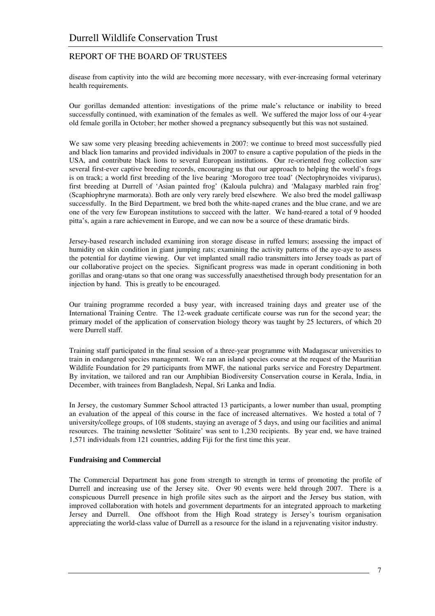disease from captivity into the wild are becoming more necessary, with ever-increasing formal veterinary health requirements.

Our gorillas demanded attention: investigations of the prime male's reluctance or inability to breed successfully continued, with examination of the females as well. We suffered the major loss of our 4-year old female gorilla in October; her mother showed a pregnancy subsequently but this was not sustained.

We saw some very pleasing breeding achievements in 2007: we continue to breed most successfully pied and black lion tamarins and provided individuals in 2007 to ensure a captive population of the pieds in the USA, and contribute black lions to several European institutions. Our re-oriented frog collection saw several first-ever captive breeding records, encouraging us that our approach to helping the world's frogs is on track; a world first breeding of the live bearing 'Morogoro tree toad' (Nectophrynoides viviparus), first breeding at Durrell of 'Asian painted frog' (Kaloula pulchra) and 'Malagasy marbled rain frog' (Scaphiophryne marmorata). Both are only very rarely bred elsewhere. We also bred the model galliwasp successfully. In the Bird Department, we bred both the white-naped cranes and the blue crane, and we are one of the very few European institutions to succeed with the latter. We hand-reared a total of 9 hooded pitta's, again a rare achievement in Europe, and we can now be a source of these dramatic birds.

Jersey-based research included examining iron storage disease in ruffed lemurs; assessing the impact of humidity on skin condition in giant jumping rats; examining the activity patterns of the aye-aye to assess the potential for daytime viewing. Our vet implanted small radio transmitters into Jersey toads as part of our collaborative project on the species. Significant progress was made in operant conditioning in both gorillas and orang-utans so that one orang was successfully anaesthetised through body presentation for an injection by hand. This is greatly to be encouraged.

Our training programme recorded a busy year, with increased training days and greater use of the International Training Centre. The 12-week graduate certificate course was run for the second year; the primary model of the application of conservation biology theory was taught by 25 lecturers, of which 20 were Durrell staff.

Training staff participated in the final session of a three-year programme with Madagascar universities to train in endangered species management. We ran an island species course at the request of the Mauritian Wildlife Foundation for 29 participants from MWF, the national parks service and Forestry Department. By invitation, we tailored and ran our Amphibian Biodiversity Conservation course in Kerala, India, in December, with trainees from Bangladesh, Nepal, Sri Lanka and India.

In Jersey, the customary Summer School attracted 13 participants, a lower number than usual, prompting an evaluation of the appeal of this course in the face of increased alternatives. We hosted a total of 7 university/college groups, of 108 students, staying an average of 5 days, and using our facilities and animal resources. The training newsletter 'Solitaire' was sent to 1,230 recipients. By year end, we have trained 1,571 individuals from 121 countries, adding Fiji for the first time this year.

## **Fundraising and Commercial**

The Commercial Department has gone from strength to strength in terms of promoting the profile of Durrell and increasing use of the Jersey site. Over 90 events were held through 2007. There is a conspicuous Durrell presence in high profile sites such as the airport and the Jersey bus station, with improved collaboration with hotels and government departments for an integrated approach to marketing Jersey and Durrell. One offshoot from the High Road strategy is Jersey's tourism organisation appreciating the world-class value of Durrell as a resource for the island in a rejuvenating visitor industry.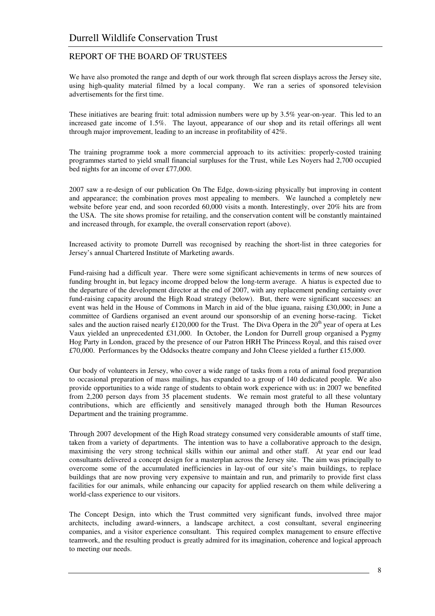We have also promoted the range and depth of our work through flat screen displays across the Jersey site, using high-quality material filmed by a local company. We ran a series of sponsored television advertisements for the first time.

These initiatives are bearing fruit: total admission numbers were up by 3.5% year-on-year. This led to an increased gate income of 1.5%. The layout, appearance of our shop and its retail offerings all went through major improvement, leading to an increase in profitability of 42%.

The training programme took a more commercial approach to its activities: properly-costed training programmes started to yield small financial surpluses for the Trust, while Les Noyers had 2,700 occupied bed nights for an income of over £77,000.

2007 saw a re-design of our publication On The Edge, down-sizing physically but improving in content and appearance; the combination proves most appealing to members. We launched a completely new website before year end, and soon recorded 60,000 visits a month. Interestingly, over 20% hits are from the USA. The site shows promise for retailing, and the conservation content will be constantly maintained and increased through, for example, the overall conservation report (above).

Increased activity to promote Durrell was recognised by reaching the short-list in three categories for Jersey's annual Chartered Institute of Marketing awards.

Fund-raising had a difficult year. There were some significant achievements in terms of new sources of funding brought in, but legacy income dropped below the long-term average. A hiatus is expected due to the departure of the development director at the end of 2007, with any replacement pending certainty over fund-raising capacity around the High Road strategy (below). But, there were significant successes: an event was held in the House of Commons in March in aid of the blue iguana, raising £30,000; in June a committee of Gardiens organised an event around our sponsorship of an evening horse-racing. Ticket sales and the auction raised nearly £120,000 for the Trust. The Diva Opera in the  $20<sup>th</sup>$  year of opera at Les Vaux yielded an unprecedented £31,000. In October, the London for Durrell group organised a Pygmy Hog Party in London, graced by the presence of our Patron HRH The Princess Royal, and this raised over £70,000. Performances by the Oddsocks theatre company and John Cleese yielded a further £15,000.

Our body of volunteers in Jersey, who cover a wide range of tasks from a rota of animal food preparation to occasional preparation of mass mailings, has expanded to a group of 140 dedicated people. We also provide opportunities to a wide range of students to obtain work experience with us: in 2007 we benefited from 2,200 person days from 35 placement students. We remain most grateful to all these voluntary contributions, which are efficiently and sensitively managed through both the Human Resources Department and the training programme.

Through 2007 development of the High Road strategy consumed very considerable amounts of staff time, taken from a variety of departments. The intention was to have a collaborative approach to the design, maximising the very strong technical skills within our animal and other staff. At year end our lead consultants delivered a concept design for a masterplan across the Jersey site. The aim was principally to overcome some of the accumulated inefficiencies in lay-out of our site's main buildings, to replace buildings that are now proving very expensive to maintain and run, and primarily to provide first class facilities for our animals, while enhancing our capacity for applied research on them while delivering a world-class experience to our visitors.

The Concept Design, into which the Trust committed very significant funds, involved three major architects, including award-winners, a landscape architect, a cost consultant, several engineering companies, and a visitor experience consultant. This required complex management to ensure effective teamwork, and the resulting product is greatly admired for its imagination, coherence and logical approach to meeting our needs.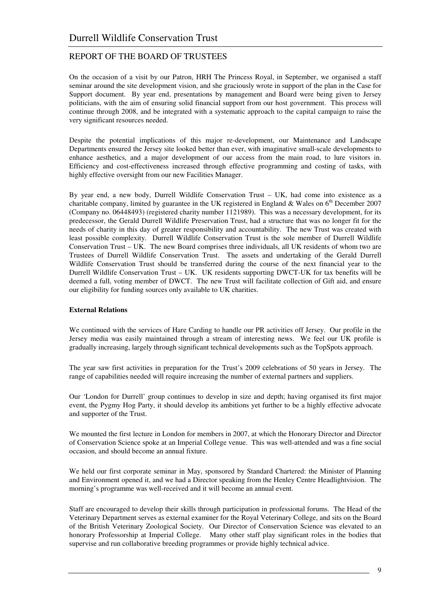On the occasion of a visit by our Patron, HRH The Princess Royal, in September, we organised a staff seminar around the site development vision, and she graciously wrote in support of the plan in the Case for Support document. By year end, presentations by management and Board were being given to Jersey politicians, with the aim of ensuring solid financial support from our host government. This process will continue through 2008, and be integrated with a systematic approach to the capital campaign to raise the very significant resources needed.

Despite the potential implications of this major re-development, our Maintenance and Landscape Departments ensured the Jersey site looked better than ever, with imaginative small-scale developments to enhance aesthetics, and a major development of our access from the main road, to lure visitors in. Efficiency and cost-effectiveness increased through effective programming and costing of tasks, with highly effective oversight from our new Facilities Manager.

By year end, a new body, Durrell Wildlife Conservation Trust – UK, had come into existence as a charitable company, limited by guarantee in the UK registered in England & Wales on  $6<sup>th</sup>$  December 2007 (Company no. 06448493) (registered charity number 1121989). This was a necessary development, for its predecessor, the Gerald Durrell Wildlife Preservation Trust, had a structure that was no longer fit for the needs of charity in this day of greater responsibility and accountability. The new Trust was created with least possible complexity. Durrell Wildlife Conservation Trust is the sole member of Durrell Wildlife Conservation Trust – UK. The new Board comprises three individuals, all UK residents of whom two are Trustees of Durrell Wildlife Conservation Trust. The assets and undertaking of the Gerald Durrell Wildlife Conservation Trust should be transferred during the course of the next financial year to the Durrell Wildlife Conservation Trust – UK. UK residents supporting DWCT-UK for tax benefits will be deemed a full, voting member of DWCT. The new Trust will facilitate collection of Gift aid, and ensure our eligibility for funding sources only available to UK charities.

#### **External Relations**

We continued with the services of Hare Carding to handle our PR activities off Jersey. Our profile in the Jersey media was easily maintained through a stream of interesting news. We feel our UK profile is gradually increasing, largely through significant technical developments such as the TopSpots approach.

The year saw first activities in preparation for the Trust's 2009 celebrations of 50 years in Jersey. The range of capabilities needed will require increasing the number of external partners and suppliers.

Our 'London for Durrell' group continues to develop in size and depth; having organised its first major event, the Pygmy Hog Party, it should develop its ambitions yet further to be a highly effective advocate and supporter of the Trust.

We mounted the first lecture in London for members in 2007, at which the Honorary Director and Director of Conservation Science spoke at an Imperial College venue. This was well-attended and was a fine social occasion, and should become an annual fixture.

We held our first corporate seminar in May, sponsored by Standard Chartered: the Minister of Planning and Environment opened it, and we had a Director speaking from the Henley Centre Headlightvision. The morning's programme was well-received and it will become an annual event.

Staff are encouraged to develop their skills through participation in professional forums. The Head of the Veterinary Department serves as external examiner for the Royal Veterinary College, and sits on the Board of the British Veterinary Zoological Society. Our Director of Conservation Science was elevated to an honorary Professorship at Imperial College. Many other staff play significant roles in the bodies that supervise and run collaborative breeding programmes or provide highly technical advice.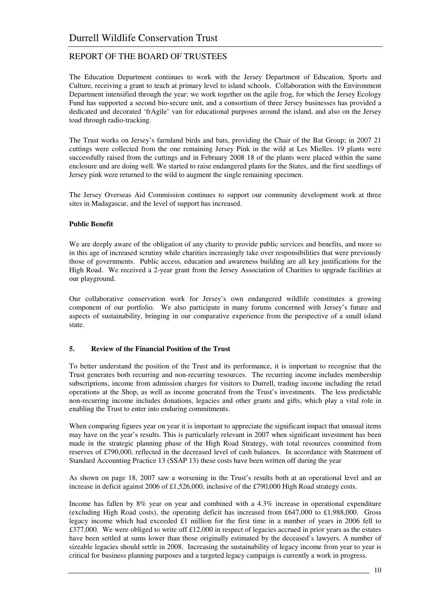The Education Department continues to work with the Jersey Department of Education, Sports and Culture, receiving a grant to teach at primary level to island schools. Collaboration with the Environment Department intensified through the year: we work together on the agile frog, for which the Jersey Ecology Fund has supported a second bio-secure unit, and a consortium of three Jersey businesses has provided a dedicated and decorated 'frAgile' van for educational purposes around the island, and also on the Jersey toad through radio-tracking.

The Trust works on Jersey's farmland birds and bats, providing the Chair of the Bat Group; in 2007 21 cuttings were collected from the one remaining Jersey Pink in the wild at Les Mielles. 19 plants were successfully raised from the cuttings and in February 2008 18 of the plants were placed within the same enclosure and are doing well. We started to raise endangered plants for the States, and the first seedlings of Jersey pink were returned to the wild to augment the single remaining specimen.

The Jersey Overseas Aid Commission continues to support our community development work at three sites in Madagascar, and the level of support has increased.

### **Public Benefit**

We are deeply aware of the obligation of any charity to provide public services and benefits, and more so in this age of increased scrutiny while charities increasingly take over responsibilities that were previously those of governments. Public access, education and awareness building are all key justifications for the High Road. We received a 2-year grant from the Jersey Association of Charities to upgrade facilities at our playground.

Our collaborative conservation work for Jersey's own endangered wildlife constitutes a growing component of our portfolio. We also participate in many forums concerned with Jersey's future and aspects of sustainability, bringing in our comparative experience from the perspective of a small island state.

#### **5. Review of the Financial Position of the Trust**

To better understand the position of the Trust and its performance, it is important to recognise that the Trust generates both recurring and non-recurring resources. The recurring income includes membership subscriptions, income from admission charges for visitors to Durrell, trading income including the retail operations at the Shop, as well as income generated from the Trust's investments. The less predictable non-recurring income includes donations, legacies and other grants and gifts, which play a vital role in enabling the Trust to enter into enduring commitments.

When comparing figures year on year it is important to appreciate the significant impact that unusual items may have on the year's results. This is particularly relevant in 2007 when significant investment has been made in the strategic planning phase of the High Road Strategy, with total resources committed from reserves of £790,000, reflected in the decreased level of cash balances. In accordance with Statement of Standard Accounting Practice 13 (SSAP 13) these costs have been written off during the year

As shown on page 18, 2007 saw a worsening in the Trust's results both at an operational level and an increase in deficit against 2006 of £1,526,000, inclusive of the £790,000 High Road strategy costs.

Income has fallen by 8% year on year and combined with a 4.3% increase in operational expenditure (excluding High Road costs), the operating deficit has increased from £647,000 to £1,988,000. Gross legacy income which had exceeded £1 million for the first time in a number of years in 2006 fell to £377,000. We were obliged to write off £12,000 in respect of legacies accrued in prior years as the estates have been settled at sums lower than those originally estimated by the deceased's lawyers. A number of sizeable legacies should settle in 2008. Increasing the sustainability of legacy income from year to year is critical for business planning purposes and a targeted legacy campaign is currently a work in progress.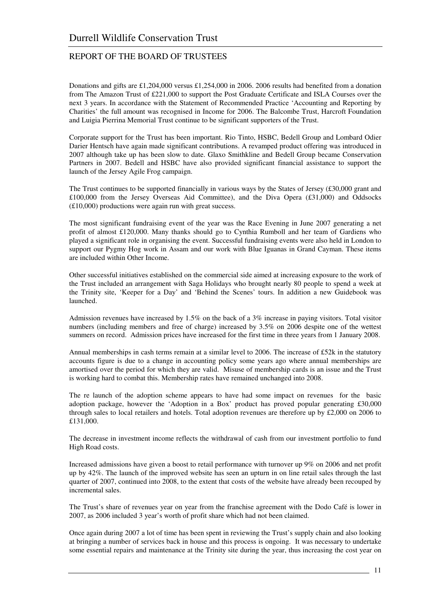Donations and gifts are £1,204,000 versus £1,254,000 in 2006. 2006 results had benefited from a donation from The Amazon Trust of £221,000 to support the Post Graduate Certificate and ISLA Courses over the next 3 years. In accordance with the Statement of Recommended Practice 'Accounting and Reporting by Charities' the full amount was recognised in Income for 2006. The Balcombe Trust, Harcroft Foundation and Luigia Pierrina Memorial Trust continue to be significant supporters of the Trust.

Corporate support for the Trust has been important. Rio Tinto, HSBC, Bedell Group and Lombard Odier Darier Hentsch have again made significant contributions. A revamped product offering was introduced in 2007 although take up has been slow to date. Glaxo Smithkline and Bedell Group became Conservation Partners in 2007. Bedell and HSBC have also provided significant financial assistance to support the launch of the Jersey Agile Frog campaign.

The Trust continues to be supported financially in various ways by the States of Jersey  $(\text{\pounds}30,000 \text{ grant}$  and £100,000 from the Jersey Overseas Aid Committee), and the Diva Opera (£31,000) and Oddsocks (£10,000) productions were again run with great success.

The most significant fundraising event of the year was the Race Evening in June 2007 generating a net profit of almost £120,000. Many thanks should go to Cynthia Rumboll and her team of Gardiens who played a significant role in organising the event. Successful fundraising events were also held in London to support our Pygmy Hog work in Assam and our work with Blue Iguanas in Grand Cayman. These items are included within Other Income.

Other successful initiatives established on the commercial side aimed at increasing exposure to the work of the Trust included an arrangement with Saga Holidays who brought nearly 80 people to spend a week at the Trinity site, 'Keeper for a Day' and 'Behind the Scenes' tours. In addition a new Guidebook was launched.

Admission revenues have increased by 1.5% on the back of a 3% increase in paying visitors. Total visitor numbers (including members and free of charge) increased by 3.5% on 2006 despite one of the wettest summers on record. Admission prices have increased for the first time in three years from 1 January 2008.

Annual memberships in cash terms remain at a similar level to 2006. The increase of £52k in the statutory accounts figure is due to a change in accounting policy some years ago where annual memberships are amortised over the period for which they are valid. Misuse of membership cards is an issue and the Trust is working hard to combat this. Membership rates have remained unchanged into 2008.

The re launch of the adoption scheme appears to have had some impact on revenues for the basic adoption package, however the 'Adoption in a Box' product has proved popular generating £30,000 through sales to local retailers and hotels. Total adoption revenues are therefore up by  $\text{\pounds}2,000$  on 2006 to £131,000.

The decrease in investment income reflects the withdrawal of cash from our investment portfolio to fund High Road costs.

Increased admissions have given a boost to retail performance with turnover up 9% on 2006 and net profit up by 42%. The launch of the improved website has seen an upturn in on line retail sales through the last quarter of 2007, continued into 2008, to the extent that costs of the website have already been recouped by incremental sales.

The Trust's share of revenues year on year from the franchise agreement with the Dodo Café is lower in 2007, as 2006 included 3 year's worth of profit share which had not been claimed.

Once again during 2007 a lot of time has been spent in reviewing the Trust's supply chain and also looking at bringing a number of services back in house and this process is ongoing. It was necessary to undertake some essential repairs and maintenance at the Trinity site during the year, thus increasing the cost year on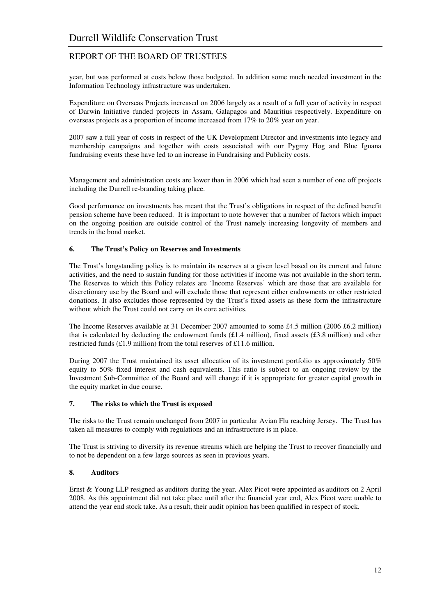year, but was performed at costs below those budgeted. In addition some much needed investment in the Information Technology infrastructure was undertaken.

Expenditure on Overseas Projects increased on 2006 largely as a result of a full year of activity in respect of Darwin Initiative funded projects in Assam, Galapagos and Mauritius respectively. Expenditure on overseas projects as a proportion of income increased from 17% to 20% year on year.

2007 saw a full year of costs in respect of the UK Development Director and investments into legacy and membership campaigns and together with costs associated with our Pygmy Hog and Blue Iguana fundraising events these have led to an increase in Fundraising and Publicity costs.

Management and administration costs are lower than in 2006 which had seen a number of one off projects including the Durrell re-branding taking place.

Good performance on investments has meant that the Trust's obligations in respect of the defined benefit pension scheme have been reduced. It is important to note however that a number of factors which impact on the ongoing position are outside control of the Trust namely increasing longevity of members and trends in the bond market.

### **6. The Trust's Policy on Reserves and Investments**

The Trust's longstanding policy is to maintain its reserves at a given level based on its current and future activities, and the need to sustain funding for those activities if income was not available in the short term. The Reserves to which this Policy relates are 'Income Reserves' which are those that are available for discretionary use by the Board and will exclude those that represent either endowments or other restricted donations. It also excludes those represented by the Trust's fixed assets as these form the infrastructure without which the Trust could not carry on its core activities.

The Income Reserves available at 31 December 2007 amounted to some £4.5 million (2006 £6.2 million) that is calculated by deducting the endowment funds  $(E1.4 \text{ million})$ , fixed assets  $(E3.8 \text{ million})$  and other restricted funds (£1.9 million) from the total reserves of £11.6 million.

During 2007 the Trust maintained its asset allocation of its investment portfolio as approximately 50% equity to 50% fixed interest and cash equivalents. This ratio is subject to an ongoing review by the Investment Sub-Committee of the Board and will change if it is appropriate for greater capital growth in the equity market in due course.

#### **7. The risks to which the Trust is exposed**

The risks to the Trust remain unchanged from 2007 in particular Avian Flu reaching Jersey. The Trust has taken all measures to comply with regulations and an infrastructure is in place.

The Trust is striving to diversify its revenue streams which are helping the Trust to recover financially and to not be dependent on a few large sources as seen in previous years.

## **8. Auditors**

Ernst & Young LLP resigned as auditors during the year. Alex Picot were appointed as auditors on 2 April 2008. As this appointment did not take place until after the financial year end, Alex Picot were unable to attend the year end stock take. As a result, their audit opinion has been qualified in respect of stock.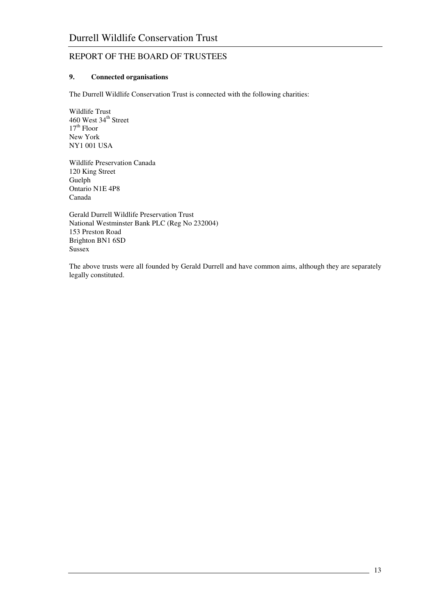# **9. Connected organisations**

The Durrell Wildlife Conservation Trust is connected with the following charities:

Wildlife Trust 460 West 34<sup>th</sup> Street  $17<sup>th</sup>$  Floor New York NY1 001 USA

Wildlife Preservation Canada 120 King Street Guelph Ontario N1E 4P8 Canada

Gerald Durrell Wildlife Preservation Trust National Westminster Bank PLC (Reg No 232004) 153 Preston Road Brighton BN1 6SD Sussex

The above trusts were all founded by Gerald Durrell and have common aims, although they are separately legally constituted.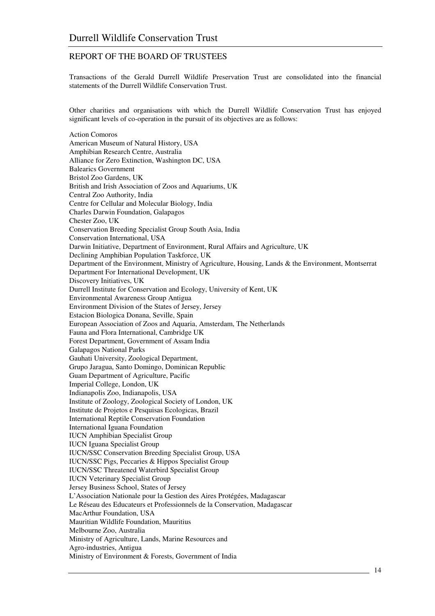Transactions of the Gerald Durrell Wildlife Preservation Trust are consolidated into the financial statements of the Durrell Wildlife Conservation Trust.

Other charities and organisations with which the Durrell Wildlife Conservation Trust has enjoyed significant levels of co-operation in the pursuit of its objectives are as follows:

Action Comoros American Museum of Natural History, USA Amphibian Research Centre, Australia Alliance for Zero Extinction, Washington DC, USA Balearics Government Bristol Zoo Gardens, UK British and Irish Association of Zoos and Aquariums, UK Central Zoo Authority, India Centre for Cellular and Molecular Biology, India Charles Darwin Foundation, Galapagos Chester Zoo, UK Conservation Breeding Specialist Group South Asia, India Conservation International, USA Darwin Initiative, Department of Environment, Rural Affairs and Agriculture, UK Declining Amphibian Population Taskforce, UK Department of the Environment, Ministry of Agriculture, Housing, Lands & the Environment, Montserrat Department For International Development, UK Discovery Initiatives, UK Durrell Institute for Conservation and Ecology, University of Kent, UK Environmental Awareness Group Antigua Environment Division of the States of Jersey, Jersey Estacion Biologica Donana, Seville, Spain European Association of Zoos and Aquaria, Amsterdam, The Netherlands Fauna and Flora International, Cambridge UK Forest Department, Government of Assam India Galapagos National Parks Gauhati University, Zoological Department, Grupo Jaragua, Santo Domingo, Dominican Republic Guam Department of Agriculture, Pacific Imperial College, London, UK Indianapolis Zoo, Indianapolis, USA Institute of Zoology, Zoological Society of London, UK Institute de Projetos e Pesquisas Ecologicas, Brazil International Reptile Conservation Foundation International Iguana Foundation IUCN Amphibian Specialist Group IUCN Iguana Specialist Group IUCN/SSC Conservation Breeding Specialist Group, USA IUCN/SSC Pigs, Peccaries & Hippos Specialist Group IUCN/SSC Threatened Waterbird Specialist Group IUCN Veterinary Specialist Group Jersey Business School, States of Jersey L'Association Nationale pour la Gestion des Aires Protégées, Madagascar Le Réseau des Educateurs et Professionnels de la Conservation, Madagascar MacArthur Foundation, USA Mauritian Wildlife Foundation, Mauritius Melbourne Zoo, Australia Ministry of Agriculture, Lands, Marine Resources and Agro-industries, Antigua Ministry of Environment & Forests, Government of India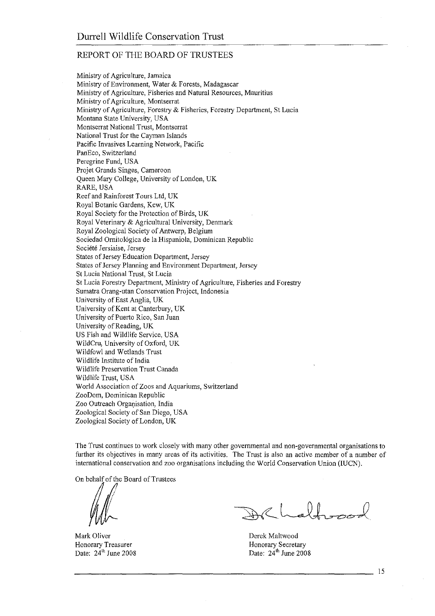Ministry of Agriculture, Jamaica Ministry of Environment, Water & Forests, Madagascar Ministry of Agriculture, Fisheries and Natural Resources, Mauritius Ministry of Agriculture, Montserrat Ministry of Agriculture, Forestry & Fisheries, Forestry Department, St Lucia Montana State University, USA Montserrat National Trust, Montserrat National Trust for the Cayman Islands Pacific Invasives Learning Network, Pacific PanEco, Switzerland Peregrine Fund, USA Projet Grands Singes, Cameroon Queen Mary College, University of London, UK RARE, USA Reef and Rainforest Tours Ltd, UK Royal Botanic Gardens, Kew, UK Royal Society for the Protection of Birds, UK Royal Veterinary & Agricultural University, Denmark Royal Zoological Society of Antwerp, Belgium Sociedad Ornitológica de la Hispaniola, Dominican Republic Société Jersiaise, Jersey States of Jersey Education Department, Jersey States of Jersey Planning and Environment Department, Jersey St Lucia National Trust, St Lucia St Lucia Forestry Department, Ministry of Agriculture, Fisheries and Forestry Sumatra Orang-utan Conservation Project, Indonesia University of East Anglia, UK University of Kent at Canterbury, UK University of Puerto Rico, San Juan University of Reading, UK US Fish and Wildlife Service, USA WildCru, University of Oxford, UK Wildfowl and Wetlands Trust Wildlife Institute of India Wildlife Preservation Trust Canada Wildlife Trust, USA World Association of Zoos and Aquariums, Switzerland ZooDom, Dominican Republic Zoo Outreach Organisation, India Zoological Society of San Diego, USA Zoological Society of London, UK

The Trust continues to work closely with many other governmental and non-governmental organisations to further its objectives in many areas of its activities. The Trust is also an active member of a number of international conservation and zoo organisations including the World Conservation Union (IUCN).

On behalf of the Board of Trustees

Mark Oliver Honorary Treasurer Date: 24<sup>th</sup> June 2008

Derek Maltwood Honorary Secretary Date:  $24^{th}$  June 2008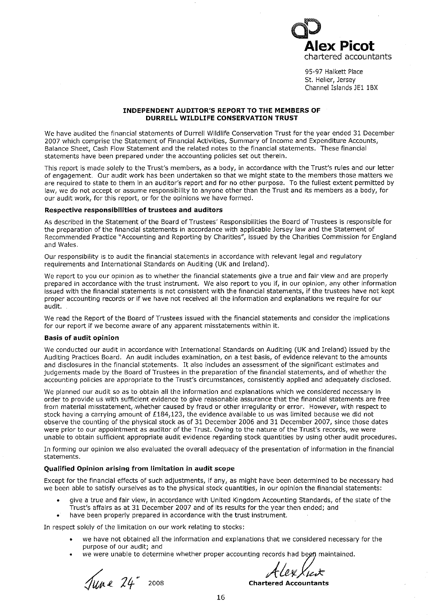lex Picot chartered accountants

95-97 Halkett Place St. Helier, Jersey Channel Islands JE1 1BX

#### **INDEPENDENT AUDITOR'S REPORT TO THE MEMBERS OF DURRELL WILDLIFE CONSERVATION TRUST**

We have audited the financial statements of Durrell Wildlife Conservation Trust for the year ended 31 December 2007 which comprise the Statement of Financial Activities, Summary of Income and Expenditure Accounts, Balance Sheet, Cash Flow Statement and the related notes to the financial statements. These financial statements have been prepared under the accounting policies set out therein.

This report is made solely to the Trust's members, as a body, in accordance with the Trust's rules and our letter of engagement. Our audit work has been undertaken so that we might state to the members those matters we are required to state to them in an auditor's report and for no other purpose. To the fullest extent permitted by law, we do not accept or assume responsibility to anyone other than the Trust and its members as a body, for our audit work, for this report, or for the opinions we have formed.

#### Respective responsibilities of trustees and auditors

As described in the Statement of the Board of Trustees' Responsibilities the Board of Trustees is responsible for the preparation of the financial statements in accordance with applicable Jersey law and the Statement of Recommended Practice "Accounting and Reporting by Charities", issued by the Charities Commission for England and Wales.

Our responsibility is to audit the financial statements in accordance with relevant legal and regulatory requirements and International Standards on Auditing (UK and Ireland).

We report to you our opinion as to whether the financial statements give a true and fair view and are properly prepared in accordance with the trust instrument. We also report to you if, in our opinion, any other information issued with the financial statements is not consistent with the financial statements, if the trustees have not kept proper accounting records or if we have not received all the information and explanations we require for our audit.

We read the Report of the Board of Trustees issued with the financial statements and consider the implications for our report if we become aware of any apparent misstatements within it.

#### **Basis of audit opinion**

We conducted our audit in accordance with International Standards on Auditing (UK and Ireland) issued by the Auditing Practices Board. An audit includes examination, on a test basis, of evidence relevant to the amounts and disclosures in the financial statements. It also includes an assessment of the significant estimates and judgements made by the Board of Trustees in the preparation of the financial statements, and of whether the accounting policies are appropriate to the Trust's circumstances, consistently applied and adequately disclosed.

We planned our audit so as to obtain all the information and explanations which we considered necessary in order to provide us with sufficient evidence to give reasonable assurance that the financial statements are free from material misstatement, whether caused by fraud or other irregularity or error. However, with respect to stock having a carrying amount of £184,123, the evidence available to us was limited because we did not observe the counting of the physical stock as of 31 December 2006 and 31 December 2007, since those dates were prior to our appointment as auditor of the Trust. Owing to the nature of the Trust's records, we were unable to obtain sufficient appropriate audit evidence regarding stock quantities by using other audit procedures.

In forming our opinion we also evaluated the overall adequacy of the presentation of information in the financial statements.

#### Qualified Opinion arising from limitation in audit scope

Except for the financial effects of such adjustments, if any, as might have been determined to be necessary had we been able to satisfy ourselves as to the physical stock quantities, in our opinion the financial statements:

- give a true and fair view, in accordance with United Kingdom Accounting Standards, of the state of the Trust's affairs as at 31 December 2007 and of its results for the year then ended; and
- have been properly prepared in accordance with the trust instrument.

In respect solely of the limitation on our work relating to stocks:

- we have not obtained all the information and explanations that we considered necessary for the purpose of our audit; and
- we were unable to determine whether proper accounting records had begn maintained.

Tune 24<sup>°</sup> 2008

He&Xiex **Chartered Accountants**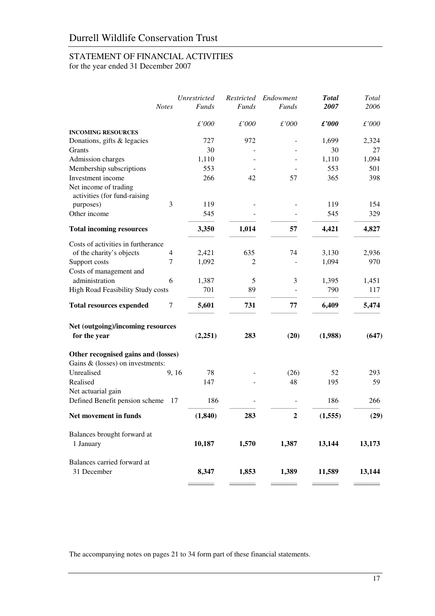# STATEMENT OF FINANCIAL ACTIVITIES

for the year ended 31 December 2007

|                                                                            | <b>Notes</b> | Unrestricted<br><b>Funds</b> | Restricted<br><b>Funds</b> | Endowment<br><b>Funds</b> | <b>Total</b><br>2007 | Total<br>2006 |
|----------------------------------------------------------------------------|--------------|------------------------------|----------------------------|---------------------------|----------------------|---------------|
|                                                                            |              | £'000                        | £'000                      | £'000                     | $\pounds'000$        | £'000         |
| <b>INCOMING RESOURCES</b>                                                  |              |                              |                            |                           |                      |               |
| Donations, gifts & legacies                                                |              | 727                          | 972                        |                           | 1,699                | 2,324         |
| Grants                                                                     |              | 30                           |                            |                           | 30                   | 27            |
| Admission charges                                                          |              | 1,110                        |                            |                           | 1,110                | 1,094         |
| Membership subscriptions                                                   |              | 553                          |                            |                           | 553                  | 501           |
| Investment income<br>Net income of trading<br>activities (for fund-raising |              | 266                          | 42                         | 57                        | 365                  | 398           |
| purposes)                                                                  | 3            | 119                          |                            |                           | 119                  | 154           |
| Other income                                                               |              | 545                          |                            |                           | 545                  | 329           |
| <b>Total incoming resources</b>                                            |              | 3,350                        | 1,014                      | 57                        | 4,421                | 4,827         |
| Costs of activities in furtherance                                         |              |                              |                            |                           |                      |               |
| of the charity's objects                                                   | 4            | 2,421                        | 635                        | 74                        | 3,130                | 2,936         |
| Support costs                                                              | 7            | 1,092                        | 2                          |                           | 1,094                | 970           |
| Costs of management and                                                    |              |                              |                            |                           |                      |               |
| administration                                                             | 6            | 1,387                        | 5                          | 3                         | 1,395                | 1,451         |
| High Road Feasibility Study costs                                          |              | 701                          | 89                         |                           | 790                  | 117           |
| <b>Total resources expended</b>                                            | 7            | 5,601                        | 731                        | 77                        | 6,409                | 5,474         |
| Net (outgoing)/incoming resources                                          |              |                              |                            |                           |                      |               |
| for the year                                                               |              | (2,251)                      | 283                        | (20)                      | (1,988)              | (647)         |
| Other recognised gains and (losses)<br>Gains & (losses) on investments:    |              |                              |                            |                           |                      |               |
| Unrealised                                                                 | 9, 16        | 78                           |                            | (26)                      | 52                   | 293           |
| Realised                                                                   |              | 147                          |                            | 48                        | 195                  | 59            |
| Net actuarial gain                                                         |              |                              |                            |                           |                      |               |
| Defined Benefit pension scheme                                             | 17           | 186                          |                            |                           | 186                  | 266           |
| Net movement in funds                                                      |              | (1, 840)                     | 283                        | $\overline{2}$            | (1, 555)             | (29)          |
| Balances brought forward at                                                |              |                              |                            |                           |                      |               |
| 1 January                                                                  |              | 10,187                       | 1,570                      | 1,387                     | 13,144               | 13,173        |
| Balances carried forward at<br>31 December                                 |              | 8,347                        | 1,853                      | 1,389                     | 11,589               | 13,144        |

The accompanying notes on pages 21 to 34 form part of these financial statements.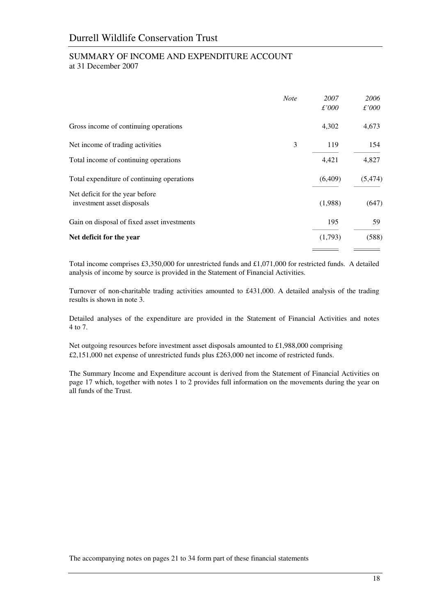# SUMMARY OF INCOME AND EXPENDITURE ACCOUNT at 31 December 2007

|                                                               | <b>Note</b> | 2007<br>$\pounds'000$ | 2006<br>$\pounds$ '000 |
|---------------------------------------------------------------|-------------|-----------------------|------------------------|
| Gross income of continuing operations                         |             | 4,302                 | 4,673                  |
| Net income of trading activities                              | 3           | 119                   | 154                    |
| Total income of continuing operations                         |             | 4,421                 | 4,827                  |
| Total expenditure of continuing operations                    |             | (6,409)               | (5, 474)               |
| Net deficit for the year before<br>investment asset disposals |             | (1,988)               | (647)                  |
| Gain on disposal of fixed asset investments                   |             | 195                   | 59                     |
| Net deficit for the year                                      |             | (1,793)               | (588)                  |
|                                                               |             |                       |                        |

Total income comprises £3,350,000 for unrestricted funds and £1,071,000 for restricted funds. A detailed analysis of income by source is provided in the Statement of Financial Activities.

Turnover of non-charitable trading activities amounted to £431,000. A detailed analysis of the trading results is shown in note 3.

Detailed analyses of the expenditure are provided in the Statement of Financial Activities and notes 4 to 7.

Net outgoing resources before investment asset disposals amounted to £1,988,000 comprising £2,151,000 net expense of unrestricted funds plus £263,000 net income of restricted funds.

The Summary Income and Expenditure account is derived from the Statement of Financial Activities on page 17 which, together with notes 1 to 2 provides full information on the movements during the year on all funds of the Trust.

The accompanying notes on pages 21 to 34 form part of these financial statements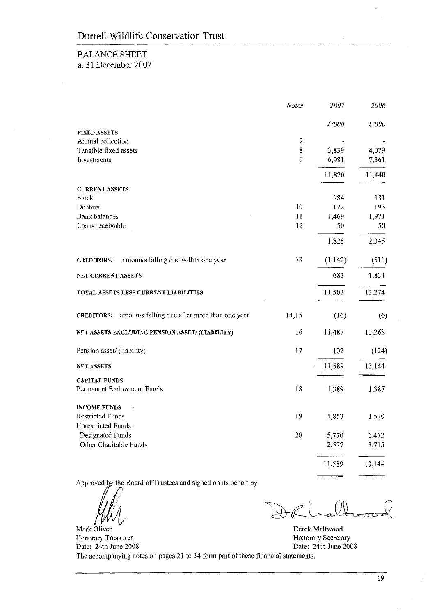# **BALANCE SHEET** at 31 December 2007

| $\pounds'000$ |
|---------------|
|               |
|               |
|               |
| 4,079         |
| 7,361         |
| 11,440        |
|               |
| 131           |
| 193           |
| 1,971         |
| 50            |
| 2,345         |
| (511)         |
| 1,834         |
| 13,274        |
| (6)           |
| 13,268        |
| (124)         |
| 13,144        |
|               |
| 1,387         |
|               |
| 1,570         |
|               |
| 6,472         |
| 3,715         |
| 13,144        |
|               |

Approved by the Board of Trustees and signed on its behalf by

Mark Oliver

Honorary Treasurer

Derek Maltwood Honorary Secretary Date: 24th June 2008

Date: 24th June 2008 The accompanying notes on pages 21 to 34 form part of these financial statements.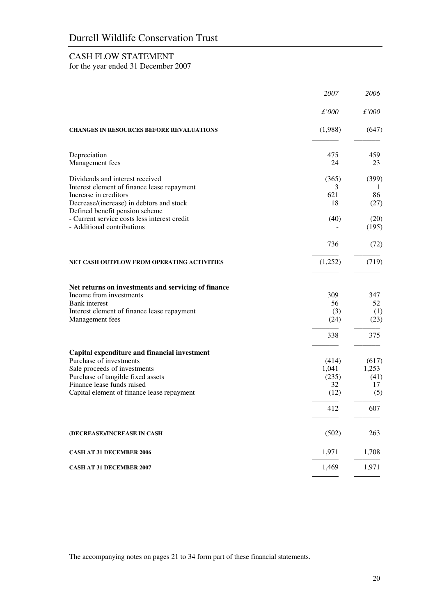# CASH FLOW STATEMENT

for the year ended 31 December 2007

|                                                                                                                                                                                                                          | 2007                                         | 2006                                       |
|--------------------------------------------------------------------------------------------------------------------------------------------------------------------------------------------------------------------------|----------------------------------------------|--------------------------------------------|
|                                                                                                                                                                                                                          | $\pounds'000$                                | £'000                                      |
| <b>CHANGES IN RESOURCES BEFORE REVALUATIONS</b>                                                                                                                                                                          | (1,988)                                      | (647)                                      |
| Depreciation<br>Management fees                                                                                                                                                                                          | 475<br>24                                    | 459<br>23                                  |
| Dividends and interest received<br>Interest element of finance lease repayment<br>Increase in creditors<br>Decrease/(increase) in debtors and stock<br>Defined benefit pension scheme                                    | (365)<br>3<br>621<br>18                      | (399)<br>1<br>86<br>(27)                   |
| - Current service costs less interest credit<br>- Additional contributions                                                                                                                                               | (40)                                         | (20)<br>(195)                              |
|                                                                                                                                                                                                                          | 736                                          | (72)                                       |
| NET CASH OUTFLOW FROM OPERATING ACTIVITIES                                                                                                                                                                               | (1,252)                                      | (719)                                      |
| Net returns on investments and servicing of finance<br>Income from investments<br><b>Bank</b> interest<br>Interest element of finance lease repayment<br>Management fees                                                 | 309<br>56<br>(3)<br>(24)<br>338              | 347<br>52<br>(1)<br>(23)<br>375            |
| Capital expenditure and financial investment<br>Purchase of investments<br>Sale proceeds of investments<br>Purchase of tangible fixed assets<br>Finance lease funds raised<br>Capital element of finance lease repayment | (414)<br>1,041<br>(235)<br>32<br>(12)<br>412 | (617)<br>1,253<br>(41)<br>17<br>(5)<br>607 |
| (DECREASE)/INCREASE IN CASH                                                                                                                                                                                              | (502)                                        | 263                                        |
| <b>CASH AT 31 DECEMBER 2006</b>                                                                                                                                                                                          | 1,971                                        | 1,708                                      |
| <b>CASH AT 31 DECEMBER 2007</b>                                                                                                                                                                                          | 1,469                                        | 1,971                                      |

The accompanying notes on pages 21 to 34 form part of these financial statements.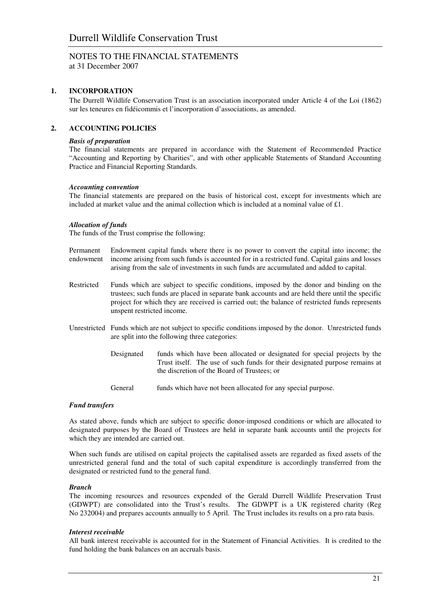at 31 December 2007

## **1. INCORPORATION**

The Durrell Wildlife Conservation Trust is an association incorporated under Article 4 of the Loi (1862) sur les teneures en fidéicommis et l'incorporation d'associations, as amended.

## **2. ACCOUNTING POLICIES**

#### *Basis of preparation*

The financial statements are prepared in accordance with the Statement of Recommended Practice "Accounting and Reporting by Charities", and with other applicable Statements of Standard Accounting Practice and Financial Reporting Standards.

#### *Accounting convention*

The financial statements are prepared on the basis of historical cost, except for investments which are included at market value and the animal collection which is included at a nominal value of £1.

#### *Allocation of funds*

The funds of the Trust comprise the following:

- Permanent Endowment capital funds where there is no power to convert the capital into income; the endowment income arising from such funds is accounted for in a restricted fund. Capital gains and losses arising from the sale of investments in such funds are accumulated and added to capital.
- Restricted Funds which are subject to specific conditions, imposed by the donor and binding on the trustees; such funds are placed in separate bank accounts and are held there until the specific project for which they are received is carried out; the balance of restricted funds represents unspent restricted income.
- Unrestricted Funds which are not subject to specific conditions imposed by the donor. Unrestricted funds are split into the following three categories:
	- Designated funds which have been allocated or designated for special projects by the Trust itself. The use of such funds for their designated purpose remains at the discretion of the Board of Trustees; or
	- General funds which have not been allocated for any special purpose.

### *Fund transfers*

As stated above, funds which are subject to specific donor-imposed conditions or which are allocated to designated purposes by the Board of Trustees are held in separate bank accounts until the projects for which they are intended are carried out.

When such funds are utilised on capital projects the capitalised assets are regarded as fixed assets of the unrestricted general fund and the total of such capital expenditure is accordingly transferred from the designated or restricted fund to the general fund.

#### *Branch*

The incoming resources and resources expended of the Gerald Durrell Wildlife Preservation Trust (GDWPT) are consolidated into the Trust's results. The GDWPT is a UK registered charity (Reg No 232004) and prepares accounts annually to 5 April. The Trust includes its results on a pro rata basis.

#### *Interest receivable*

All bank interest receivable is accounted for in the Statement of Financial Activities. It is credited to the fund holding the bank balances on an accruals basis.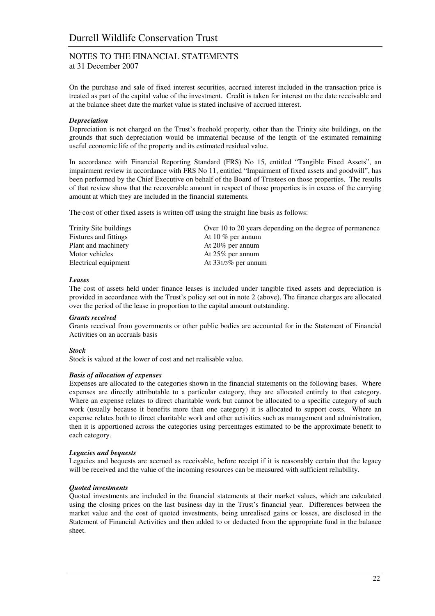at 31 December 2007

On the purchase and sale of fixed interest securities, accrued interest included in the transaction price is treated as part of the capital value of the investment. Credit is taken for interest on the date receivable and at the balance sheet date the market value is stated inclusive of accrued interest.

### *Depreciation*

Depreciation is not charged on the Trust's freehold property, other than the Trinity site buildings, on the grounds that such depreciation would be immaterial because of the length of the estimated remaining useful economic life of the property and its estimated residual value.

In accordance with Financial Reporting Standard (FRS) No 15, entitled "Tangible Fixed Assets", an impairment review in accordance with FRS No 11, entitled "Impairment of fixed assets and goodwill", has been performed by the Chief Executive on behalf of the Board of Trustees on those properties. The results of that review show that the recoverable amount in respect of those properties is in excess of the carrying amount at which they are included in the financial statements.

The cost of other fixed assets is written off using the straight line basis as follows:

| Trinity Site buildings | Over 10 to 20 years depending on the degree of permanence |
|------------------------|-----------------------------------------------------------|
| Fixtures and fittings  | At 10 $%$ per annum                                       |
| Plant and machinery    | At $20\%$ per annum                                       |
| Motor vehicles         | At $25\%$ per annum                                       |
| Electrical equipment   | At $331/3\%$ per annum                                    |

#### *Leases*

The cost of assets held under finance leases is included under tangible fixed assets and depreciation is provided in accordance with the Trust's policy set out in note 2 (above). The finance charges are allocated over the period of the lease in proportion to the capital amount outstanding.

#### *Grants received*

Grants received from governments or other public bodies are accounted for in the Statement of Financial Activities on an accruals basis

#### *Stock*

Stock is valued at the lower of cost and net realisable value.

#### *Basis of allocation of expenses*

Expenses are allocated to the categories shown in the financial statements on the following bases. Where expenses are directly attributable to a particular category, they are allocated entirely to that category. Where an expense relates to direct charitable work but cannot be allocated to a specific category of such work (usually because it benefits more than one category) it is allocated to support costs. Where an expense relates both to direct charitable work and other activities such as management and administration, then it is apportioned across the categories using percentages estimated to be the approximate benefit to each category.

#### *Legacies and bequests*

Legacies and bequests are accrued as receivable, before receipt if it is reasonably certain that the legacy will be received and the value of the incoming resources can be measured with sufficient reliability.

#### *Quoted investments*

Quoted investments are included in the financial statements at their market values, which are calculated using the closing prices on the last business day in the Trust's financial year. Differences between the market value and the cost of quoted investments, being unrealised gains or losses, are disclosed in the Statement of Financial Activities and then added to or deducted from the appropriate fund in the balance sheet.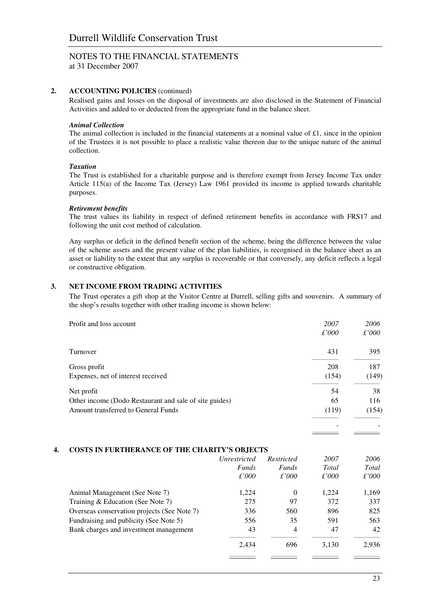at 31 December 2007

### **2. ACCOUNTING POLICIES** (continued)

Realised gains and losses on the disposal of investments are also disclosed in the Statement of Financial Activities and added to or deducted from the appropriate fund in the balance sheet.

#### *Animal Collection*

The animal collection is included in the financial statements at a nominal value of £1, since in the opinion of the Trustees it is not possible to place a realistic value thereon due to the unique nature of the animal collection.

### *Taxation*

The Trust is established for a charitable purpose and is therefore exempt from Jersey Income Tax under Article 115(a) of the Income Tax (Jersey) Law 1961 provided its income is applied towards charitable purposes.

### *Retirement benefits*

The trust values its liability in respect of defined retirement benefits in accordance with FRS17 and following the unit cost method of calculation.

Any surplus or deficit in the defined benefit section of the scheme, being the difference between the value of the scheme assets and the present value of the plan liabilities, is recognised in the balance sheet as an asset or liability to the extent that any surplus is recoverable or that conversely, any deficit reflects a legal or constructive obligation.

## **3. NET INCOME FROM TRADING ACTIVITIES**

The Trust operates a gift shop at the Visitor Centre at Durrell, selling gifts and souvenirs. A summary of the shop's results together with other trading income is shown below:

| Profit and loss account                                | 2007  | 2006  |
|--------------------------------------------------------|-------|-------|
|                                                        | £'000 | £'000 |
| Turnover                                               | 431   | 395   |
| Gross profit                                           | 208   | 187   |
| Expenses, net of interest received                     | (154) | (149) |
| Net profit                                             | 54    | 38    |
| Other income (Dodo Restaurant and sale of site guides) | 65    | 116   |
| Amount transferred to General Funds                    | (119) | (154) |
|                                                        |       |       |

#### **4. COSTS IN FURTHERANCE OF THE CHARITY'S OBJECTS**

|                                             | <i>Unrestricted</i><br><i>Funds</i><br>£'000 | Restricted<br><b>Funds</b><br>£'000 | 2007<br>Total<br>$\pounds'000$ | 2006<br>Total<br>£'000 |
|---------------------------------------------|----------------------------------------------|-------------------------------------|--------------------------------|------------------------|
| Animal Management (See Note 7)              | 1.224                                        | $\Omega$                            | 1.224                          | 1,169                  |
| Training & Education (See Note 7)           | 275                                          | 97                                  | 372                            | 337                    |
| Overseas conservation projects (See Note 7) | 336                                          | 560                                 | 896                            | 825                    |
| Fundraising and publicity (See Note 5)      | 556                                          | 35                                  | 591                            | 563                    |
| Bank charges and investment management      | 43                                           | $\overline{4}$                      | 47                             | 42                     |
|                                             | 2,434                                        | 696                                 | 3,130                          | 2,936                  |
|                                             |                                              |                                     |                                |                        |

—————— ——————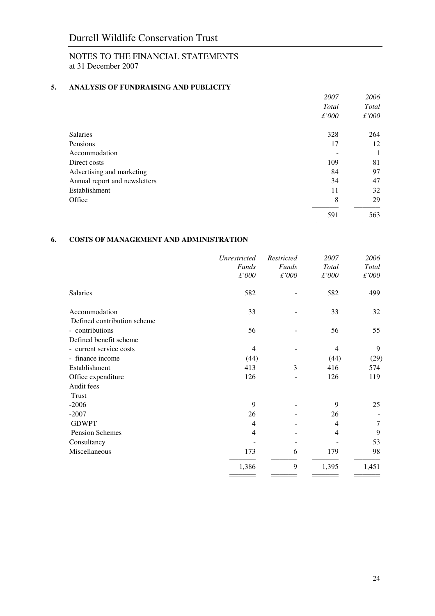# NOTES TO THE FINANCIAL STATEMENTS at 31 December 2007

# **5. ANALYSIS OF FUNDRAISING AND PUBLICITY**

|                               | 2007          | 2006          |
|-------------------------------|---------------|---------------|
|                               | Total         | Total         |
|                               | $\pounds'000$ | $\pounds'000$ |
| <b>Salaries</b>               | 328           | 264           |
| Pensions                      | 17            | 12            |
| Accommodation                 |               | 1             |
| Direct costs                  | 109           | 81            |
| Advertising and marketing     | 84            | 97            |
| Annual report and newsletters | 34            | 47            |
| Establishment                 | 11            | 32            |
| Office                        | 8             | 29            |
|                               | 591           | 563           |

# **6. COSTS OF MANAGEMENT AND ADMINISTRATION**

|                                              | Unrestricted<br><b>Funds</b><br>$\pounds'000$ | Restricted<br><b>Funds</b><br>$\pounds'000$ | 2007<br><b>Total</b><br>$\pounds'000$ | 2006<br>Total<br>£'000 |
|----------------------------------------------|-----------------------------------------------|---------------------------------------------|---------------------------------------|------------------------|
| Salaries                                     | 582                                           |                                             | 582                                   | 499                    |
| Accommodation<br>Defined contribution scheme | 33                                            |                                             | 33                                    | 32                     |
| - contributions                              | 56                                            |                                             | 56                                    | 55                     |
| Defined benefit scheme                       |                                               |                                             |                                       |                        |
| - current service costs                      | 4                                             |                                             | $\overline{4}$                        | 9                      |
| - finance income                             | (44)                                          |                                             | (44)                                  | (29)                   |
| Establishment                                | 413                                           | 3                                           | 416                                   | 574                    |
| Office expenditure                           | 126                                           |                                             | 126                                   | 119                    |
| Audit fees                                   |                                               |                                             |                                       |                        |
| Trust                                        |                                               |                                             |                                       |                        |
| $-2006$                                      | 9                                             |                                             | 9                                     | 25                     |
| $-2007$                                      | 26                                            |                                             | 26                                    |                        |
| <b>GDWPT</b>                                 | 4                                             |                                             | $\overline{4}$                        | 7                      |
| Pension Schemes                              | 4                                             |                                             | $\overline{4}$                        | 9                      |
| Consultancy                                  |                                               |                                             |                                       | 53                     |
| Miscellaneous                                | 173                                           | 6                                           | 179                                   | 98                     |
|                                              | 1,386                                         | 9                                           | 1,395                                 | 1,451                  |

**—————— ——————**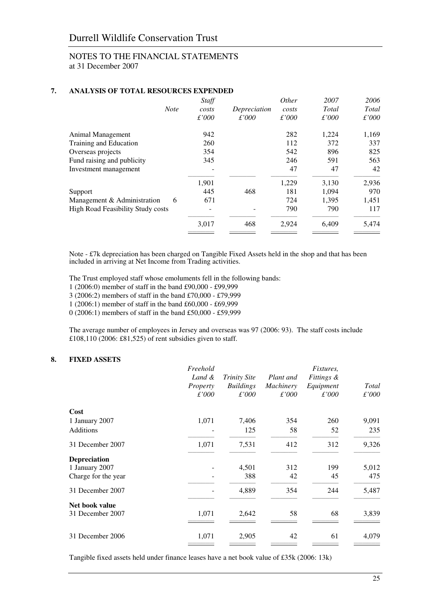## NOTES TO THE FINANCIAL STATEMENTS at 31 December 2007

# **7. ANALYSIS OF TOTAL RESOURCES EXPENDED**

| Staff<br>costs | Depreciation | Other<br>costs | 2007<br>Total  | 2006<br>Total |
|----------------|--------------|----------------|----------------|---------------|
|                |              |                |                | $\pounds'000$ |
| 942            |              | 282            | 1,224          | 1,169         |
| 260            |              | 112            | 372            | 337           |
| 354            |              | 542            | 896            | 825           |
| 345            |              | 246            | 591            | 563           |
|                |              | 47             | 47             | 42            |
| 1,901          |              | 1,229          | 3,130          | 2,936         |
| 445            | 468          | 181            | 1,094          | 970           |
| 671            |              | 724            | 1,395          | 1,451         |
|                |              | 790            | 790            | 117           |
| 3,017          | 468          | 2,924          | 6,409          | 5,474         |
|                | £'000        | £'000          | $\pounds$ '000 | $\pounds'000$ |

Note - £7k depreciation has been charged on Tangible Fixed Assets held in the shop and that has been included in arriving at Net Income from Trading activities.

The Trust employed staff whose emoluments fell in the following bands:

- 1 (2006:0) member of staff in the band £90,000 £99,999
- 3 (2006:2) members of staff in the band £70,000 £79,999
- 1 (2006:1) member of staff in the band £60,000 £69,999

0 (2006:1) members of staff in the band £50,000 - £59,999

The average number of employees in Jersey and overseas was 97 (2006: 93). The staff costs include £108,110 (2006: £81,525) of rent subsidies given to staff.

### **8. FIXED ASSETS**

|                     | Freehold<br>Land &<br>Property<br>£'000 | <b>Trinity Site</b><br><b>Buildings</b><br>£'000 | Plant and<br>Machinery<br>£'000 | Fixtures,<br><i>Fittings &amp;</i><br>Equipment<br>$\pounds'000$ | Total<br>$\pounds'000$ |
|---------------------|-----------------------------------------|--------------------------------------------------|---------------------------------|------------------------------------------------------------------|------------------------|
| Cost                |                                         |                                                  |                                 |                                                                  |                        |
| 1 January 2007      | 1,071                                   | 7,406                                            | 354                             | 260                                                              | 9,091                  |
| <b>Additions</b>    |                                         | 125                                              | 58                              | 52                                                               | 235                    |
| 31 December 2007    | 1,071                                   | 7,531                                            | 412                             | 312                                                              | 9,326                  |
| <b>Depreciation</b> |                                         |                                                  |                                 |                                                                  |                        |
| 1 January 2007      |                                         | 4,501                                            | 312                             | 199                                                              | 5,012                  |
| Charge for the year |                                         | 388                                              | 42                              | 45                                                               | 475                    |
| 31 December 2007    |                                         | 4,889                                            | 354                             | 244                                                              | 5,487                  |
| Net book value      |                                         |                                                  |                                 |                                                                  |                        |
| 31 December 2007    | 1,071                                   | 2,642                                            | 58                              | 68                                                               | 3,839                  |
| 31 December 2006    | 1,071                                   | 2,905                                            | 42                              | 61                                                               | 4,079                  |
|                     |                                         |                                                  |                                 |                                                                  |                        |

Tangible fixed assets held under finance leases have a net book value of £35k (2006: 13k)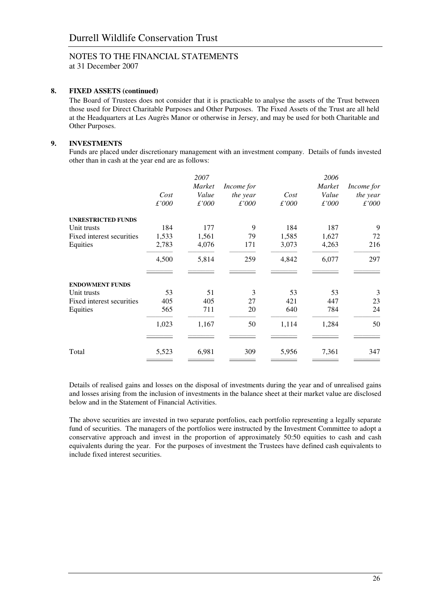at 31 December 2007

# **8. FIXED ASSETS (continued)**

The Board of Trustees does not consider that it is practicable to analyse the assets of the Trust between those used for Direct Charitable Purposes and Other Purposes. The Fixed Assets of the Trust are all held at the Headquarters at Les Augrès Manor or otherwise in Jersey, and may be used for both Charitable and Other Purposes.

# **9. INVESTMENTS**

Funds are placed under discretionary management with an investment company. Details of funds invested other than in cash at the year end are as follows:

|                           | Cost<br>£'000 | 2007<br>Market<br>Value<br>£'000 | Income for<br>the year<br>£'000 | Cost<br>£'000 | 2006<br>Market<br>Value<br>$\pounds'000$ | Income for<br>the year<br>£'000 |
|---------------------------|---------------|----------------------------------|---------------------------------|---------------|------------------------------------------|---------------------------------|
| <b>UNRESTRICTED FUNDS</b> |               |                                  |                                 |               |                                          |                                 |
| Unit trusts               | 184           | 177                              | 9                               | 184           | 187                                      | 9                               |
| Fixed interest securities | 1,533         | 1,561                            | 79                              | 1,585         | 1,627                                    | 72                              |
| Equities                  | 2,783         | 4,076                            | 171                             | 3,073         | 4,263                                    | 216                             |
|                           | 4,500         | 5,814                            | 259                             | 4,842         | 6,077                                    | 297                             |
|                           |               |                                  |                                 |               |                                          |                                 |
| <b>ENDOWMENT FUNDS</b>    |               |                                  |                                 |               |                                          |                                 |
| Unit trusts               | 53            | 51                               | 3                               | 53            | 53                                       | 3                               |
| Fixed interest securities | 405           | 405                              | 27                              | 421           | 447                                      | 23                              |
| Equities                  | 565           | 711                              | 20                              | 640           | 784                                      | 24                              |
|                           | 1,023         | 1,167                            | 50                              | 1,114         | 1,284                                    | 50                              |
| Total                     | 5,523         | 6,981                            | 309                             | 5,956         | 7,361                                    | 347                             |
|                           |               |                                  |                                 |               |                                          |                                 |

Details of realised gains and losses on the disposal of investments during the year and of unrealised gains and losses arising from the inclusion of investments in the balance sheet at their market value are disclosed below and in the Statement of Financial Activities.

The above securities are invested in two separate portfolios, each portfolio representing a legally separate fund of securities. The managers of the portfolios were instructed by the Investment Committee to adopt a conservative approach and invest in the proportion of approximately 50:50 equities to cash and cash equivalents during the year. For the purposes of investment the Trustees have defined cash equivalents to include fixed interest securities.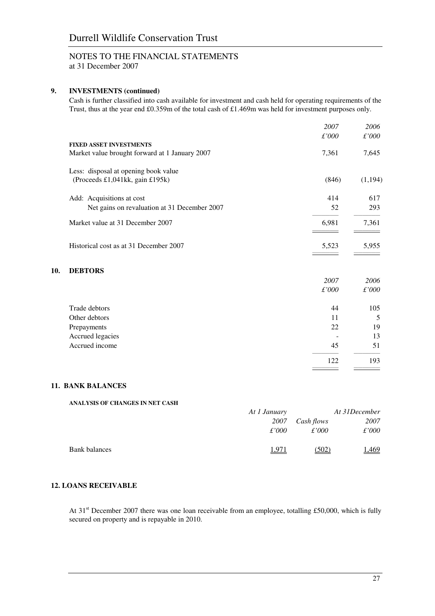at 31 December 2007

# **9. INVESTMENTS (continued)**

Cash is further classified into cash available for investment and cash held for operating requirements of the Trust, thus at the year end £0.359m of the total cash of £1.469m was held for investment purposes only.

|                                                | 2007  | 2006    |
|------------------------------------------------|-------|---------|
|                                                | £'000 | £'000   |
| <b>FIXED ASSET INVESTMENTS</b>                 |       |         |
| Market value brought forward at 1 January 2007 | 7,361 | 7,645   |
| Less: disposal at opening book value           |       |         |
| (Proceeds £1,041kk, gain £195k)                | (846) | (1,194) |
| Add: Acquisitions at cost                      | 414   | 617     |
| Net gains on revaluation at 31 December 2007   | 52    | 293     |
| Market value at 31 December 2007               | 6,981 | 7,361   |
|                                                |       |         |
| Historical cost as at 31 December 2007         | 5,523 | 5,955   |
|                                                |       |         |
| <b>DEBTORS</b>                                 |       |         |
|                                                | 2007  | 2006    |
|                                                | £'000 | £'000   |
| Trade debtors                                  | 44    | 105     |
| Other debtors                                  | 11    | 5       |
| Prepayments                                    | 22    | 19      |
| Accrued legacies                               |       | 13      |
| Accrued income                                 | 45    | 51      |
|                                                | 122   | 193     |
|                                                |       |         |

#### **11. BANK BALANCES**

**10.** 

# **ANALYSIS OF CHANGES IN NET CASH**  *At 1 January At 31December 2007 Cash flows 2007 £'000 £'000 £'000*  Bank balances 1,971 (502) 1,469

# **12. LOANS RECEIVABLE**

At 31<sup>st</sup> December 2007 there was one loan receivable from an employee, totalling £50,000, which is fully secured on property and is repayable in 2010.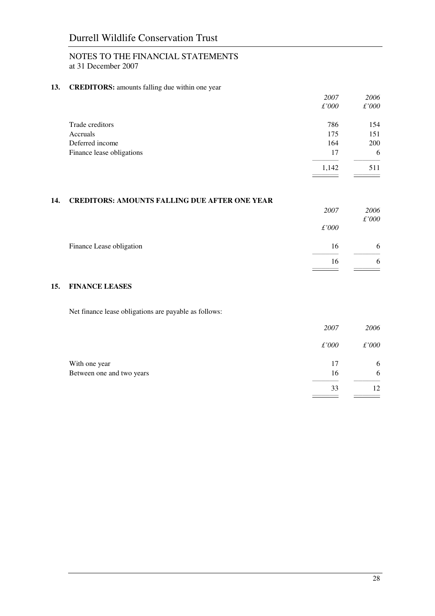# NOTES TO THE FINANCIAL STATEMENTS at 31 December 2007

# 13. **CREDITORS:** amounts falling due within one year

|                           | 2007          | 2006          |
|---------------------------|---------------|---------------|
|                           | $\pounds'000$ | $\pounds'000$ |
| Trade creditors           | 786           | 154           |
| Accruals                  | 175           | 151           |
| Deferred income           | 164           | 200           |
| Finance lease obligations | 17            | 6             |
|                           | 1,142         | 511           |

# **14. CREDITORS: AMOUNTS FALLING DUE AFTER ONE YEAR**

|                          | 2007          | 2006          |
|--------------------------|---------------|---------------|
|                          | $\pounds'000$ | $\pounds'000$ |
| Finance Lease obligation | 16            | 6             |
|                          | 16            | 6             |
|                          |               |               |

# **15. FINANCE LEASES**

Net finance lease obligations are payable as follows:

|                           | 2007          | 2006          |
|---------------------------|---------------|---------------|
|                           | $\pounds'000$ | $\pounds'000$ |
| With one year             | 17            | 6             |
| Between one and two years | 16            | 6             |
|                           | 33            | 12.           |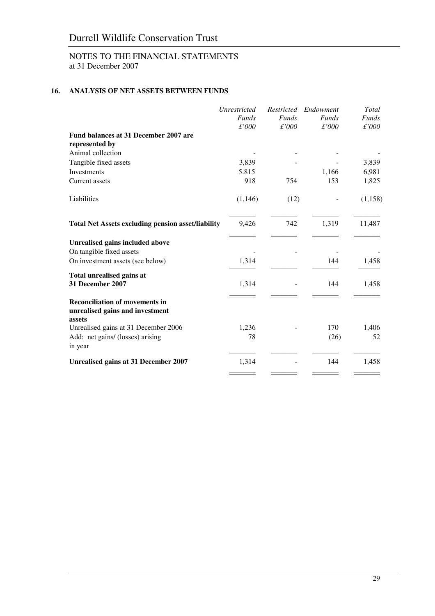# Durrell Wildlife Conservation Trust

# NOTES TO THE FINANCIAL STATEMENTS at 31 December 2007

# **16. ANALYSIS OF NET ASSETS BETWEEN FUNDS**

|                                                                          | Unrestricted | Restricted   | Endowment    | Total        |
|--------------------------------------------------------------------------|--------------|--------------|--------------|--------------|
|                                                                          | <b>Funds</b> | <b>Funds</b> | <b>Funds</b> | <b>Funds</b> |
|                                                                          | £'000        | £'000        | £'000        | £'000        |
| Fund balances at 31 December 2007 are                                    |              |              |              |              |
| represented by                                                           |              |              |              |              |
| Animal collection                                                        |              |              |              |              |
| Tangible fixed assets                                                    | 3,839        |              |              | 3,839        |
| <b>Investments</b>                                                       | 5.815        |              | 1,166        | 6,981        |
| Current assets                                                           | 918          | 754          | 153          | 1,825        |
| Liabilities                                                              | (1, 146)     | (12)         |              | (1,158)      |
| <b>Total Net Assets excluding pension asset/liability</b>                | 9,426        | 742          | 1,319        | 11,487       |
| Unrealised gains included above                                          |              |              |              |              |
| On tangible fixed assets                                                 |              |              |              |              |
| On investment assets (see below)                                         | 1,314        |              | 144          | 1,458        |
| Total unrealised gains at<br>31 December 2007                            | 1,314        |              | 144          | 1,458        |
| <b>Reconciliation of movements in</b><br>unrealised gains and investment |              |              |              |              |
| assets<br>Unrealised gains at 31 December 2006                           | 1,236        |              | 170          | 1,406        |
| Add: net gains/ (losses) arising                                         | 78           |              | (26)         | 52           |
| in year                                                                  |              |              |              |              |
| <b>Unrealised gains at 31 December 2007</b>                              | 1,314        |              | 144          | 1,458        |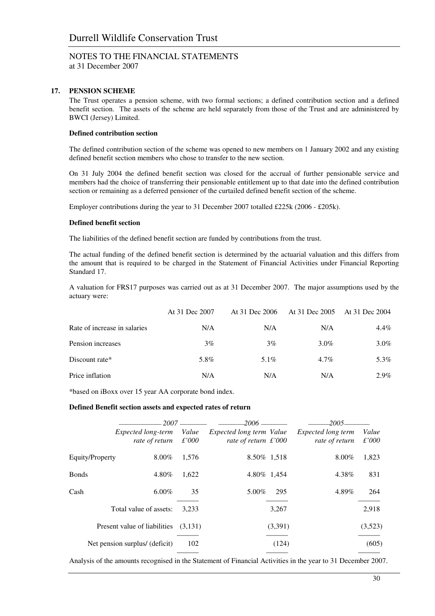at 31 December 2007

# **17. PENSION SCHEME**

The Trust operates a pension scheme, with two formal sections; a defined contribution section and a defined benefit section. The assets of the scheme are held separately from those of the Trust and are administered by BWCI (Jersey) Limited.

### **Defined contribution section**

The defined contribution section of the scheme was opened to new members on 1 January 2002 and any existing defined benefit section members who chose to transfer to the new section.

On 31 July 2004 the defined benefit section was closed for the accrual of further pensionable service and members had the choice of transferring their pensionable entitlement up to that date into the defined contribution section or remaining as a deferred pensioner of the curtailed defined benefit section of the scheme.

Employer contributions during the year to 31 December 2007 totalled £225k (2006 - £205k).

### **Defined benefit section**

The liabilities of the defined benefit section are funded by contributions from the trust.

The actual funding of the defined benefit section is determined by the actuarial valuation and this differs from the amount that is required to be charged in the Statement of Financial Activities under Financial Reporting Standard 17.

A valuation for FRS17 purposes was carried out as at 31 December 2007. The major assumptions used by the actuary were:

|                              | At 31 Dec 2007 | At 31 Dec 2006 | At 31 Dec 2005 | At 31 Dec 2004 |
|------------------------------|----------------|----------------|----------------|----------------|
| Rate of increase in salaries | N/A            | N/A            | N/A            | $4.4\%$        |
| Pension increases            | 3%             | 3%             | $3.0\%$        | $3.0\%$        |
| Discount rate*               | 5.8%           | $5.1\%$        | $4.7\%$        | 5.3%           |
| Price inflation              | N/A            | N/A            | N/A            | $2.9\%$        |

\*based on iBoxx over 15 year AA corporate bond index.

#### **Defined Benefit section assets and expected rates of return**

|                 |                                             |                        | -2006 —                                                   |         | -2005-                               |                |
|-----------------|---------------------------------------------|------------------------|-----------------------------------------------------------|---------|--------------------------------------|----------------|
|                 | <i>Expected long-term</i><br>rate of return | Value<br>$\pounds'000$ | Expected long term Value<br>rate of return $\pounds$ '000 |         | Expected long term<br>rate of return | Value<br>£'000 |
| Equity/Property | $8.00\%$                                    | 1,576                  | 8.50\% 1.518                                              |         | 8.00%                                | 1,823          |
| <b>Bonds</b>    | 4.80%                                       | 1,622                  | 4.80\% 1.454                                              |         | 4.38%                                | 831            |
| Cash            | $6.00\%$                                    | 35                     | $5.00\%$                                                  | 295     | 4.89%                                | 264            |
|                 | Total value of assets:                      | 3,233                  |                                                           | 3,267   |                                      | 2,918          |
|                 | Present value of liabilities                | (3,131)                |                                                           | (3,391) |                                      | (3,523)        |
|                 | Net pension surplus/ (deficit)              | 102                    |                                                           | (124)   |                                      | (605)          |

Analysis of the amounts recognised in the Statement of Financial Activities in the year to 31 December 2007.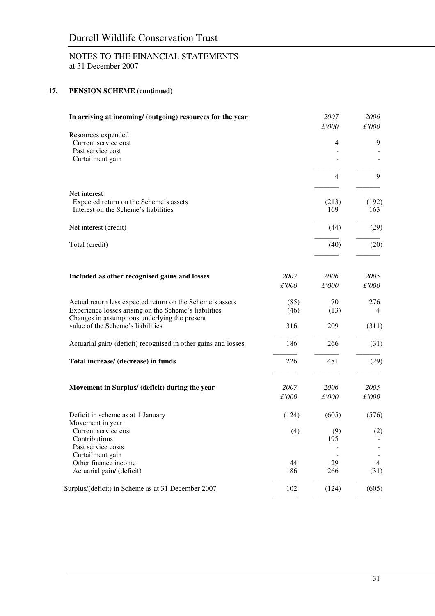# NOTES TO THE FINANCIAL STATEMENTS at 31 December 2007

# **17. PENSION SCHEME (continued)**

| In arriving at incoming/ (outgoing) resources for the year                                                                                                                                               |                     | 2007<br>£'000     | 2006<br>$\pounds'000$ |
|----------------------------------------------------------------------------------------------------------------------------------------------------------------------------------------------------------|---------------------|-------------------|-----------------------|
| Resources expended<br>Current service cost<br>Past service cost<br>Curtailment gain                                                                                                                      |                     | 4                 | 9                     |
|                                                                                                                                                                                                          |                     | $\overline{4}$    | 9                     |
| Net interest<br>Expected return on the Scheme's assets<br>Interest on the Scheme's liabilities                                                                                                           |                     | (213)<br>169      | (192)<br>163          |
| Net interest (credit)                                                                                                                                                                                    |                     | (44)              | (29)                  |
| Total (credit)                                                                                                                                                                                           |                     | (40)              | (20)                  |
| Included as other recognised gains and losses                                                                                                                                                            | 2007<br>£'000       | 2006<br>£'000     | 2005<br>£'000         |
| Actual return less expected return on the Scheme's assets<br>Experience losses arising on the Scheme's liabilities<br>Changes in assumptions underlying the present<br>value of the Scheme's liabilities | (85)<br>(46)<br>316 | 70<br>(13)<br>209 | 276<br>4<br>(311)     |
| Actuarial gain/ (deficit) recognised in other gains and losses                                                                                                                                           | 186                 | 266               | (31)                  |
| Total increase/ (decrease) in funds                                                                                                                                                                      | 226                 | 481               | (29)                  |
| Movement in Surplus/ (deficit) during the year                                                                                                                                                           | 2007<br>£'000       | 2006<br>£'000     | 2005<br>£'000         |
| Deficit in scheme as at 1 January                                                                                                                                                                        | (124)               | (605)             | (576)                 |
| Movement in year<br>Current service cost<br>Contributions<br>Past service costs                                                                                                                          | (4)                 | (9)<br>195        | (2)                   |
| Curtailment gain                                                                                                                                                                                         |                     |                   |                       |
| Other finance income                                                                                                                                                                                     | 44                  | 29                | 4                     |
| Actuarial gain/ (deficit)                                                                                                                                                                                | 186                 | 266               | (31)                  |
| Surplus/(deficit) in Scheme as at 31 December 2007                                                                                                                                                       | 102                 | (124)             | (605)                 |

––––––––––– ––––––––––– –––––––––––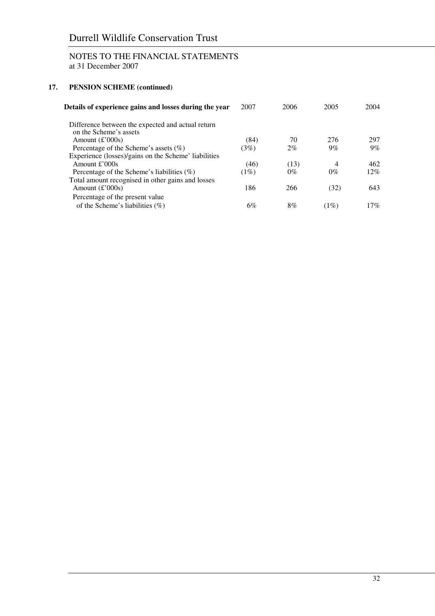# Durrell Wildlife Conservation Trust

# NOTES TO THE FINANCIAL STATEMENTS at 31 December 2007

# **17. PENSION SCHEME (continued)**

| Details of experience gains and losses during the year                      | 2007 | 2006  | 2005  | 2004   |
|-----------------------------------------------------------------------------|------|-------|-------|--------|
| Difference between the expected and actual return<br>on the Scheme's assets |      |       |       |        |
| Amount $\text{£'}000s$                                                      | (84) | 70    | 276   | 297    |
| Percentage of the Scheme's assets $(\%)$                                    | (3%) | $2\%$ | $9\%$ | $9\%$  |
| Experience (losses)/gains on the Scheme' liabilities                        |      |       |       |        |
| Amount $\pounds$ 000s                                                       | (46) | (13)  | 4     | 462    |
| Percentage of the Scheme's liabilities $(\%)$                               | (1%) | $0\%$ | $0\%$ | $12\%$ |
| Total amount recognised in other gains and losses                           |      |       |       |        |
| Amount $(\pounds 000s)$                                                     | 186  | 266   | (32)  | 643    |
| Percentage of the present value                                             |      |       |       |        |
| of the Scheme's liabilities $(\%)$                                          | 6%   | 8%    | (1%)  | 17%    |
|                                                                             |      |       |       |        |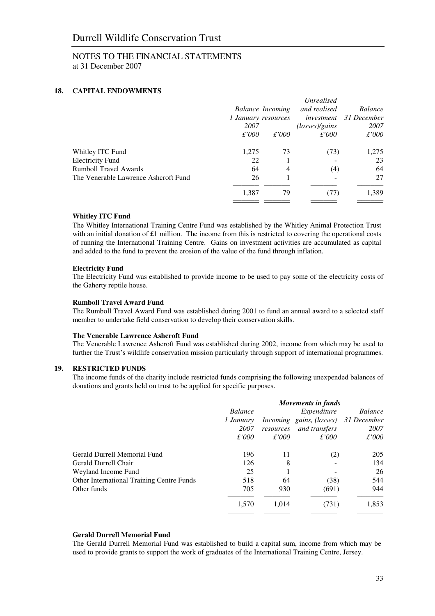# NOTES TO THE FINANCIAL STATEMENTS at 31 December 2007

### **18. CAPITAL ENDOWMENTS**

|                                      | 1 January resources<br>2007 | Balance Incoming | Unrealised<br>and realised<br>investment<br>(losses)/gains | <i>Balance</i><br>31 December<br>2007 |
|--------------------------------------|-----------------------------|------------------|------------------------------------------------------------|---------------------------------------|
|                                      | $\pounds'000$               | $\pounds'000$    | $\pounds'000$                                              | $\pounds'000$                         |
| Whitley ITC Fund                     | 1,275                       | 73               | (73)                                                       | 1,275                                 |
| <b>Electricity Fund</b>              | 22                          |                  |                                                            | 23                                    |
| <b>Rumboll Travel Awards</b>         | 64                          | $\overline{4}$   | (4)                                                        | 64                                    |
| The Venerable Lawrence Ashcroft Fund | 26                          |                  |                                                            | 27                                    |
|                                      | 1,387                       | 79               | (77)                                                       | 1,389                                 |
|                                      |                             |                  |                                                            |                                       |

#### **Whitley ITC Fund**

The Whitley International Training Centre Fund was established by the Whitley Animal Protection Trust with an initial donation of  $£1$  million. The income from this is restricted to covering the operational costs of running the International Training Centre. Gains on investment activities are accumulated as capital and added to the fund to prevent the erosion of the value of the fund through inflation.

#### **Electricity Fund**

The Electricity Fund was established to provide income to be used to pay some of the electricity costs of the Gaherty reptile house.

#### **Rumboll Travel Award Fund**

The Rumboll Travel Award Fund was established during 2001 to fund an annual award to a selected staff member to undertake field conservation to develop their conservation skills.

#### **The Venerable Lawrence Ashcroft Fund**

The Venerable Lawrence Ashcroft Fund was established during 2002, income from which may be used to further the Trust's wildlife conservation mission particularly through support of international programmes.

#### **19. RESTRICTED FUNDS**

The income funds of the charity include restricted funds comprising the following unexpended balances of donations and grants held on trust to be applied for specific purposes.

|                                                  | Movements in funds |           |                          |                |  |
|--------------------------------------------------|--------------------|-----------|--------------------------|----------------|--|
|                                                  | <i>Balance</i>     |           | Expenditure              | <i>Balance</i> |  |
|                                                  | 1 January          |           | Incoming gains, (losses) | 31 December    |  |
|                                                  | 2007               | resources | and transfers            | 2007           |  |
|                                                  | £'000              | £'000     | £'000                    | £'000          |  |
| Gerald Durrell Memorial Fund                     | 196                | 11        | (2)                      | 205            |  |
| Gerald Durrell Chair<br>Weyland Income Fund      | 126                | 8         |                          | 134            |  |
|                                                  | 25                 |           |                          | 26             |  |
| <b>Other International Training Centre Funds</b> | 518                | 64        | (38)                     | 544            |  |
| Other funds                                      | 705                | 930       | (691)                    | 944            |  |
|                                                  | 1.570              | 1.014     | (731)                    | 1,853          |  |

#### **Gerald Durrell Memorial Fund**

The Gerald Durrell Memorial Fund was established to build a capital sum, income from which may be used to provide grants to support the work of graduates of the International Training Centre, Jersey.